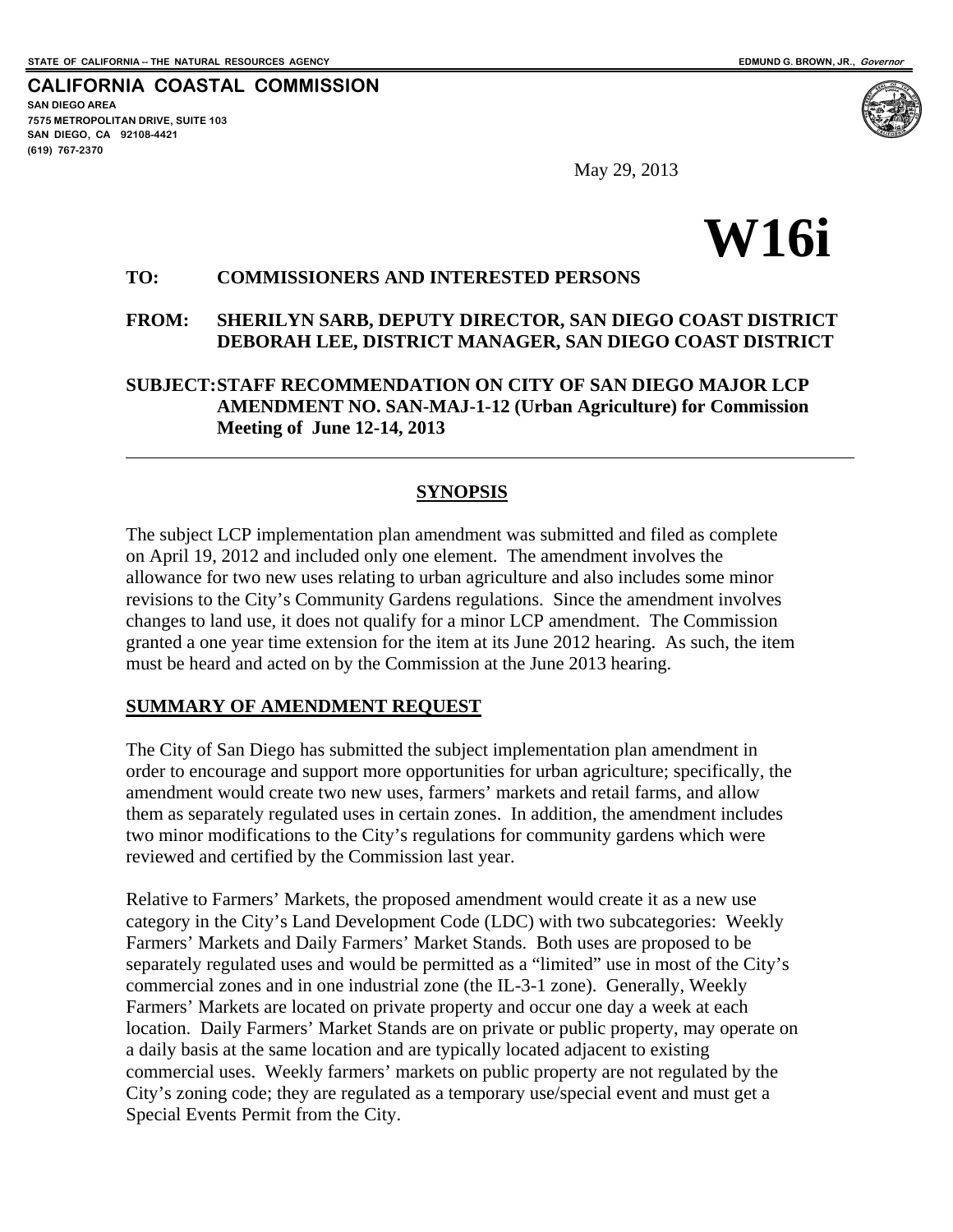**CALIFORNIA COASTAL COMMISSION SAN DIEGO AREA 7575 METROPOLITAN DRIVE, SUITE 103 SAN DIEGO, CA 92108-4421 (619) 767-2370**

 $\overline{a}$ 

May 29, 2013

# **W16i**

# **TO: COMMISSIONERS AND INTERESTED PERSONS**

### **FROM: SHERILYN SARB, DEPUTY DIRECTOR, SAN DIEGO COAST DISTRICT DEBORAH LEE, DISTRICT MANAGER, SAN DIEGO COAST DISTRICT**

**SUBJECT: STAFF RECOMMENDATION ON CITY OF SAN DIEGO MAJOR LCP AMENDMENT NO. SAN-MAJ-1-12 (Urban Agriculture) for Commission Meeting of June 12-14, 2013**

# **SYNOPSIS**

The subject LCP implementation plan amendment was submitted and filed as complete on April 19, 2012 and included only one element. The amendment involves the allowance for two new uses relating to urban agriculture and also includes some minor revisions to the City's Community Gardens regulations. Since the amendment involves changes to land use, it does not qualify for a minor LCP amendment. The Commission granted a one year time extension for the item at its June 2012 hearing. As such, the item must be heard and acted on by the Commission at the June 2013 hearing.

### **SUMMARY OF AMENDMENT REQUEST**

The City of San Diego has submitted the subject implementation plan amendment in order to encourage and support more opportunities for urban agriculture; specifically, the amendment would create two new uses, farmers' markets and retail farms, and allow them as separately regulated uses in certain zones. In addition, the amendment includes two minor modifications to the City's regulations for community gardens which were reviewed and certified by the Commission last year.

Relative to Farmers' Markets, the proposed amendment would create it as a new use category in the City's Land Development Code (LDC) with two subcategories: Weekly Farmers' Markets and Daily Farmers' Market Stands. Both uses are proposed to be separately regulated uses and would be permitted as a "limited" use in most of the City's commercial zones and in one industrial zone (the IL-3-1 zone). Generally, Weekly Farmers' Markets are located on private property and occur one day a week at each location. Daily Farmers' Market Stands are on private or public property, may operate on a daily basis at the same location and are typically located adjacent to existing commercial uses. Weekly farmers' markets on public property are not regulated by the City's zoning code; they are regulated as a temporary use/special event and must get a Special Events Permit from the City.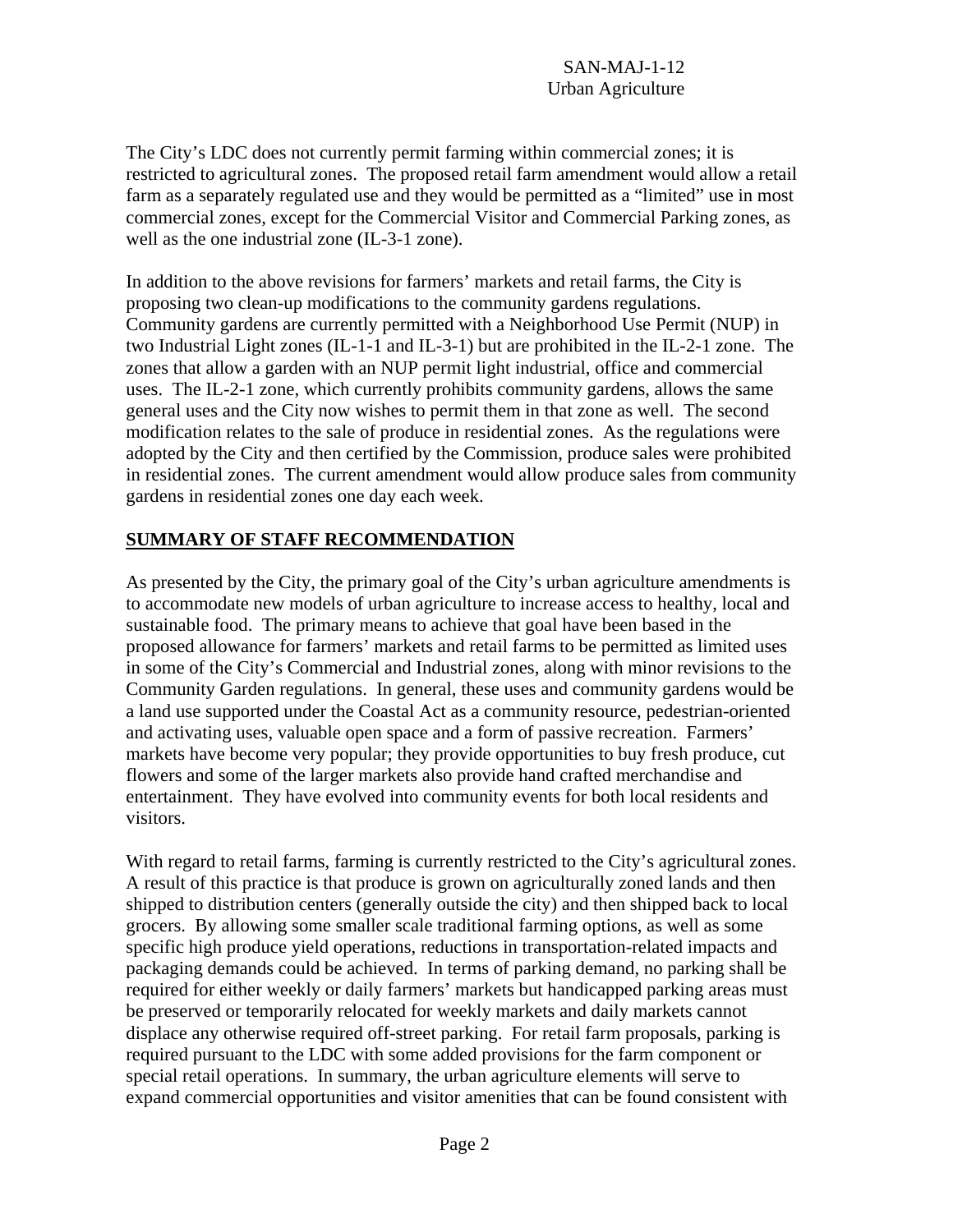The City's LDC does not currently permit farming within commercial zones; it is restricted to agricultural zones. The proposed retail farm amendment would allow a retail farm as a separately regulated use and they would be permitted as a "limited" use in most commercial zones, except for the Commercial Visitor and Commercial Parking zones, as well as the one industrial zone (IL-3-1 zone).

In addition to the above revisions for farmers' markets and retail farms, the City is proposing two clean-up modifications to the community gardens regulations. Community gardens are currently permitted with a Neighborhood Use Permit (NUP) in two Industrial Light zones (IL-1-1 and IL-3-1) but are prohibited in the IL-2-1 zone. The zones that allow a garden with an NUP permit light industrial, office and commercial uses. The IL-2-1 zone, which currently prohibits community gardens, allows the same general uses and the City now wishes to permit them in that zone as well. The second modification relates to the sale of produce in residential zones. As the regulations were adopted by the City and then certified by the Commission, produce sales were prohibited in residential zones. The current amendment would allow produce sales from community gardens in residential zones one day each week.

# **SUMMARY OF STAFF RECOMMENDATION**

As presented by the City, the primary goal of the City's urban agriculture amendments is to accommodate new models of urban agriculture to increase access to healthy, local and sustainable food. The primary means to achieve that goal have been based in the proposed allowance for farmers' markets and retail farms to be permitted as limited uses in some of the City's Commercial and Industrial zones, along with minor revisions to the Community Garden regulations. In general, these uses and community gardens would be a land use supported under the Coastal Act as a community resource, pedestrian-oriented and activating uses, valuable open space and a form of passive recreation. Farmers' markets have become very popular; they provide opportunities to buy fresh produce, cut flowers and some of the larger markets also provide hand crafted merchandise and entertainment. They have evolved into community events for both local residents and visitors.

With regard to retail farms, farming is currently restricted to the City's agricultural zones. A result of this practice is that produce is grown on agriculturally zoned lands and then shipped to distribution centers (generally outside the city) and then shipped back to local grocers. By allowing some smaller scale traditional farming options, as well as some specific high produce yield operations, reductions in transportation-related impacts and packaging demands could be achieved. In terms of parking demand, no parking shall be required for either weekly or daily farmers' markets but handicapped parking areas must be preserved or temporarily relocated for weekly markets and daily markets cannot displace any otherwise required off-street parking. For retail farm proposals, parking is required pursuant to the LDC with some added provisions for the farm component or special retail operations. In summary, the urban agriculture elements will serve to expand commercial opportunities and visitor amenities that can be found consistent with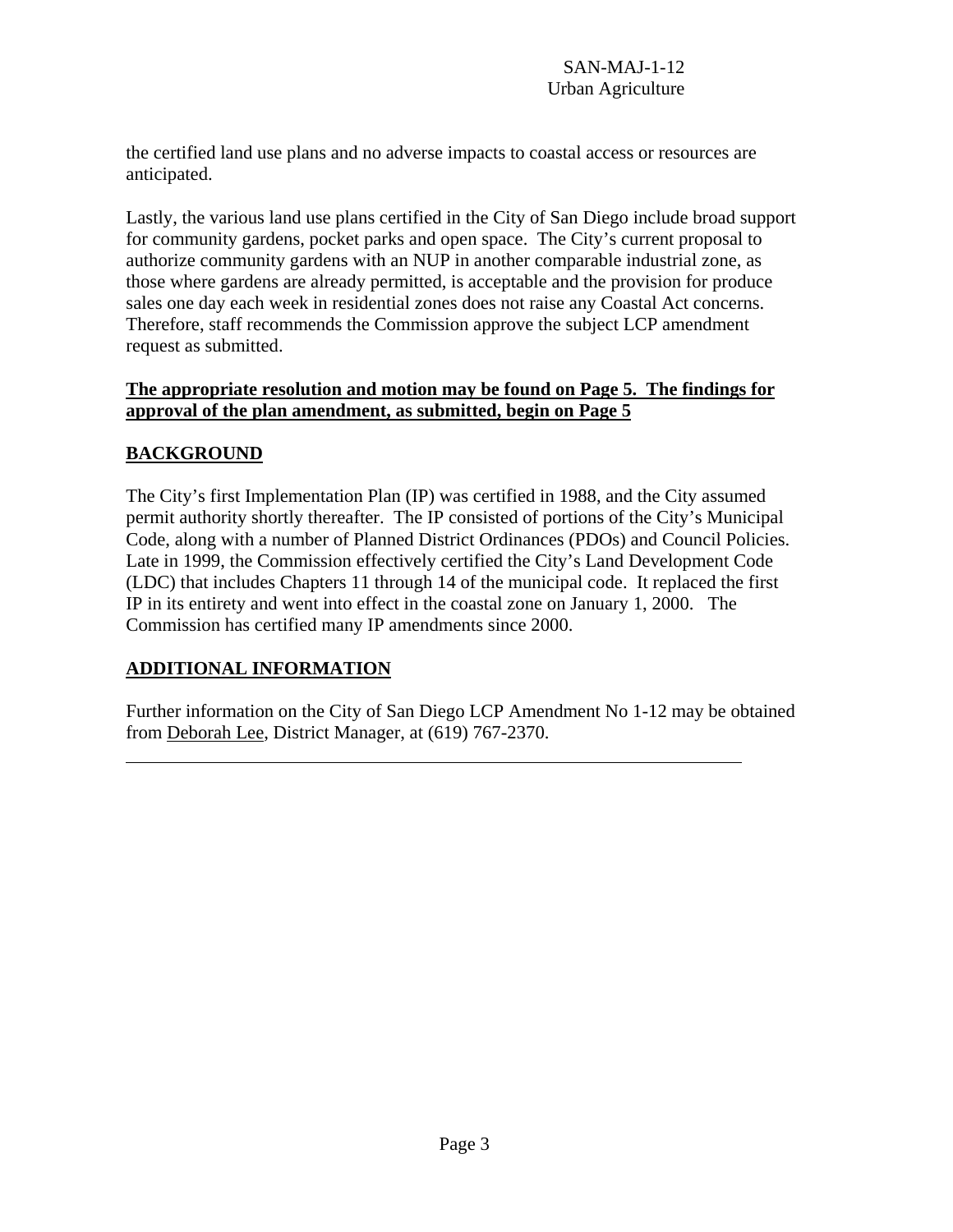the certified land use plans and no adverse impacts to coastal access or resources are anticipated.

Lastly, the various land use plans certified in the City of San Diego include broad support for community gardens, pocket parks and open space. The City's current proposal to authorize community gardens with an NUP in another comparable industrial zone, as those where gardens are already permitted, is acceptable and the provision for produce sales one day each week in residential zones does not raise any Coastal Act concerns. Therefore, staff recommends the Commission approve the subject LCP amendment request as submitted.

### **The appropriate resolution and motion may be found on Page 5. The findings for approval of the plan amendment, as submitted, begin on Page 5**

# **BACKGROUND**

 $\overline{a}$ 

The City's first Implementation Plan (IP) was certified in 1988, and the City assumed permit authority shortly thereafter. The IP consisted of portions of the City's Municipal Code, along with a number of Planned District Ordinances (PDOs) and Council Policies. Late in 1999, the Commission effectively certified the City's Land Development Code (LDC) that includes Chapters 11 through 14 of the municipal code. It replaced the first IP in its entirety and went into effect in the coastal zone on January 1, 2000. The Commission has certified many IP amendments since 2000.

# **ADDITIONAL INFORMATION**

Further information on the City of San Diego LCP Amendment No 1-12 may be obtained from Deborah Lee, District Manager, at (619) 767-2370.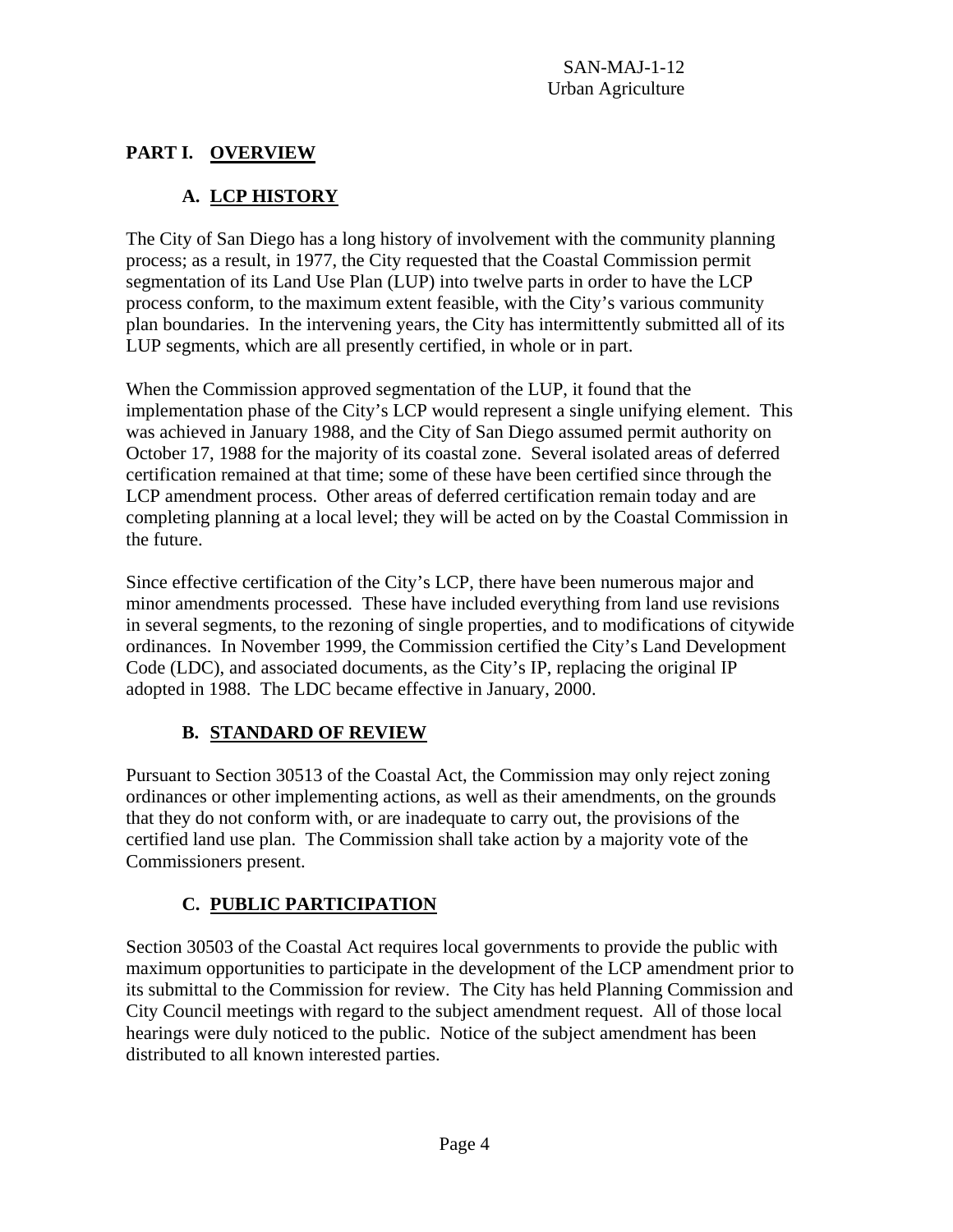# **PART I. OVERVIEW**

# **A. LCP HISTORY**

The City of San Diego has a long history of involvement with the community planning process; as a result, in 1977, the City requested that the Coastal Commission permit segmentation of its Land Use Plan (LUP) into twelve parts in order to have the LCP process conform, to the maximum extent feasible, with the City's various community plan boundaries. In the intervening years, the City has intermittently submitted all of its LUP segments, which are all presently certified, in whole or in part.

When the Commission approved segmentation of the LUP, it found that the implementation phase of the City's LCP would represent a single unifying element. This was achieved in January 1988, and the City of San Diego assumed permit authority on October 17, 1988 for the majority of its coastal zone. Several isolated areas of deferred certification remained at that time; some of these have been certified since through the LCP amendment process. Other areas of deferred certification remain today and are completing planning at a local level; they will be acted on by the Coastal Commission in the future.

Since effective certification of the City's LCP, there have been numerous major and minor amendments processed. These have included everything from land use revisions in several segments, to the rezoning of single properties, and to modifications of citywide ordinances. In November 1999, the Commission certified the City's Land Development Code (LDC), and associated documents, as the City's IP, replacing the original IP adopted in 1988. The LDC became effective in January, 2000.

# **B. STANDARD OF REVIEW**

Pursuant to Section 30513 of the Coastal Act, the Commission may only reject zoning ordinances or other implementing actions, as well as their amendments, on the grounds that they do not conform with, or are inadequate to carry out, the provisions of the certified land use plan. The Commission shall take action by a majority vote of the Commissioners present.

# **C. PUBLIC PARTICIPATION**

Section 30503 of the Coastal Act requires local governments to provide the public with maximum opportunities to participate in the development of the LCP amendment prior to its submittal to the Commission for review. The City has held Planning Commission and City Council meetings with regard to the subject amendment request. All of those local hearings were duly noticed to the public. Notice of the subject amendment has been distributed to all known interested parties.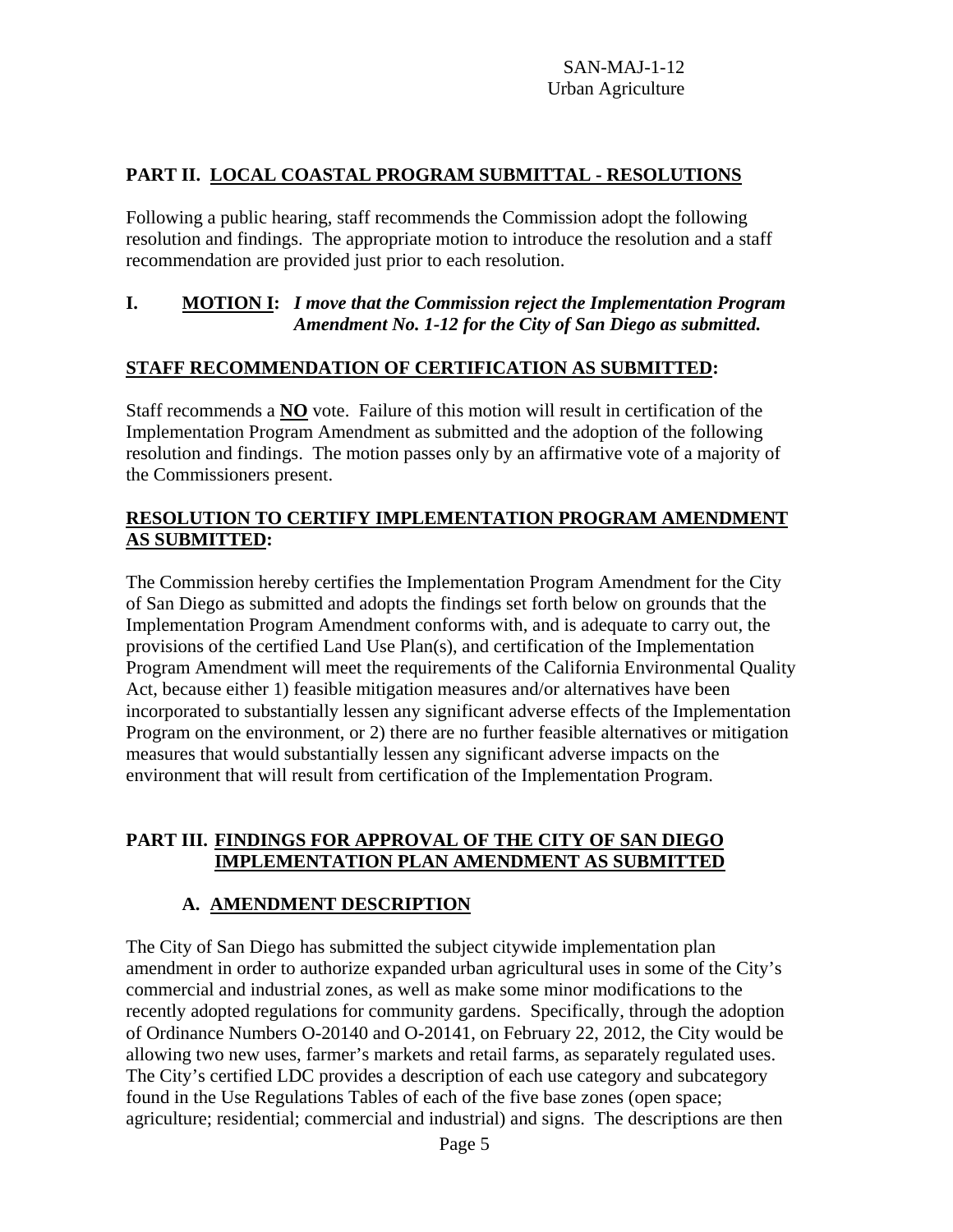# **PART II. LOCAL COASTAL PROGRAM SUBMITTAL - RESOLUTIONS**

Following a public hearing, staff recommends the Commission adopt the following resolution and findings. The appropriate motion to introduce the resolution and a staff recommendation are provided just prior to each resolution.

# **I. MOTION I:** *I move that the Commission reject the Implementation Program Amendment No. 1-12 for the City of San Diego as submitted.*

# **STAFF RECOMMENDATION OF CERTIFICATION AS SUBMITTED:**

Staff recommends a **NO** vote. Failure of this motion will result in certification of the Implementation Program Amendment as submitted and the adoption of the following resolution and findings. The motion passes only by an affirmative vote of a majority of the Commissioners present.

# **RESOLUTION TO CERTIFY IMPLEMENTATION PROGRAM AMENDMENT AS SUBMITTED:**

The Commission hereby certifies the Implementation Program Amendment for the City of San Diego as submitted and adopts the findings set forth below on grounds that the Implementation Program Amendment conforms with, and is adequate to carry out, the provisions of the certified Land Use Plan(s), and certification of the Implementation Program Amendment will meet the requirements of the California Environmental Quality Act, because either 1) feasible mitigation measures and/or alternatives have been incorporated to substantially lessen any significant adverse effects of the Implementation Program on the environment, or 2) there are no further feasible alternatives or mitigation measures that would substantially lessen any significant adverse impacts on the environment that will result from certification of the Implementation Program.

# **PART III. FINDINGS FOR APPROVAL OF THE CITY OF SAN DIEGO IMPLEMENTATION PLAN AMENDMENT AS SUBMITTED**

# **A. AMENDMENT DESCRIPTION**

The City of San Diego has submitted the subject citywide implementation plan amendment in order to authorize expanded urban agricultural uses in some of the City's commercial and industrial zones, as well as make some minor modifications to the recently adopted regulations for community gardens. Specifically, through the adoption of Ordinance Numbers O-20140 and O-20141, on February 22, 2012, the City would be allowing two new uses, farmer's markets and retail farms, as separately regulated uses. The City's certified LDC provides a description of each use category and subcategory found in the Use Regulations Tables of each of the five base zones (open space; agriculture; residential; commercial and industrial) and signs. The descriptions are then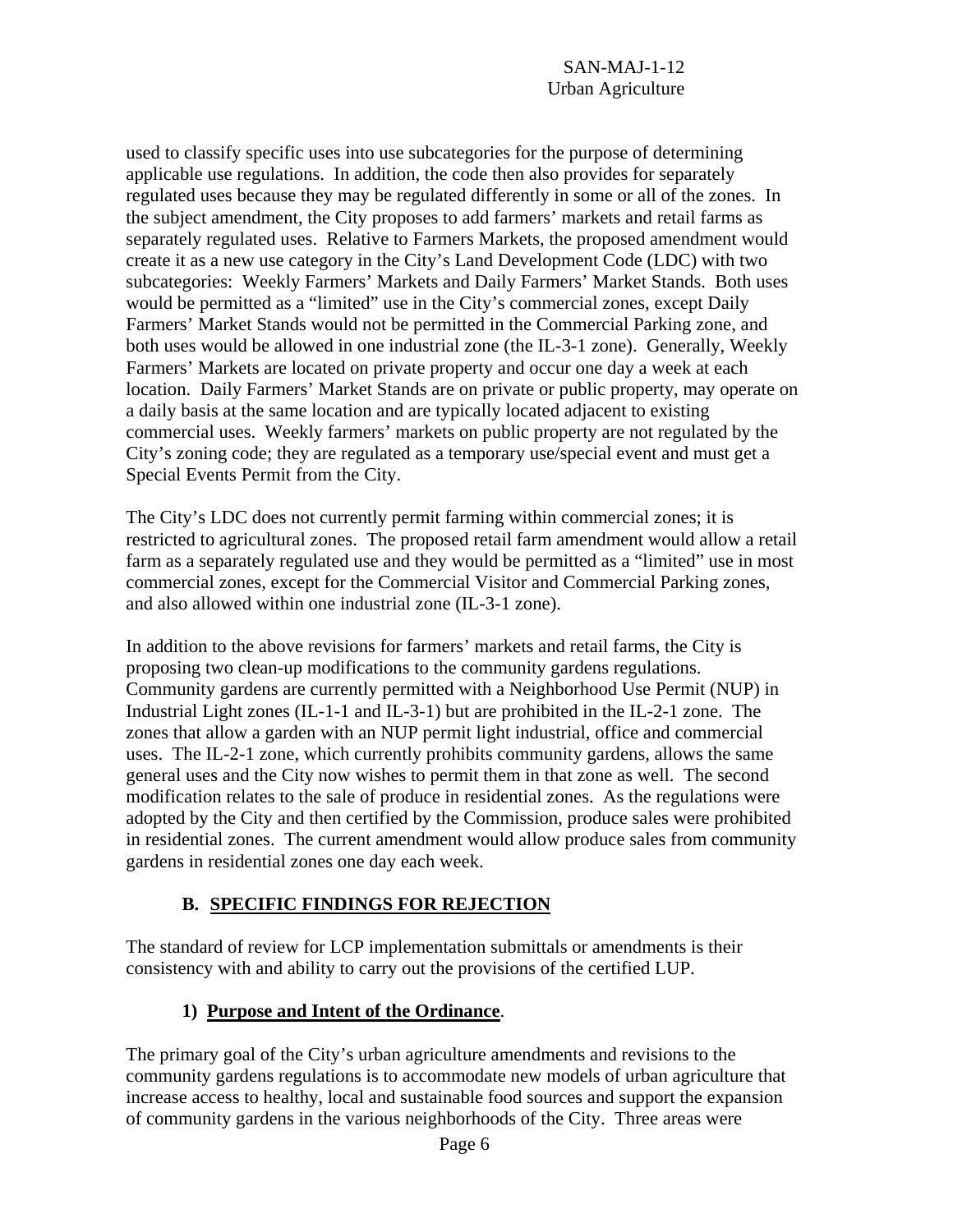used to classify specific uses into use subcategories for the purpose of determining applicable use regulations. In addition, the code then also provides for separately regulated uses because they may be regulated differently in some or all of the zones. In the subject amendment, the City proposes to add farmers' markets and retail farms as separately regulated uses. Relative to Farmers Markets, the proposed amendment would create it as a new use category in the City's Land Development Code (LDC) with two subcategories: Weekly Farmers' Markets and Daily Farmers' Market Stands. Both uses would be permitted as a "limited" use in the City's commercial zones, except Daily Farmers' Market Stands would not be permitted in the Commercial Parking zone, and both uses would be allowed in one industrial zone (the IL-3-1 zone). Generally, Weekly Farmers' Markets are located on private property and occur one day a week at each location. Daily Farmers' Market Stands are on private or public property, may operate on a daily basis at the same location and are typically located adjacent to existing commercial uses. Weekly farmers' markets on public property are not regulated by the City's zoning code; they are regulated as a temporary use/special event and must get a Special Events Permit from the City.

The City's LDC does not currently permit farming within commercial zones; it is restricted to agricultural zones. The proposed retail farm amendment would allow a retail farm as a separately regulated use and they would be permitted as a "limited" use in most commercial zones, except for the Commercial Visitor and Commercial Parking zones, and also allowed within one industrial zone (IL-3-1 zone).

In addition to the above revisions for farmers' markets and retail farms, the City is proposing two clean-up modifications to the community gardens regulations. Community gardens are currently permitted with a Neighborhood Use Permit (NUP) in Industrial Light zones (IL-1-1 and IL-3-1) but are prohibited in the IL-2-1 zone. The zones that allow a garden with an NUP permit light industrial, office and commercial uses. The IL-2-1 zone, which currently prohibits community gardens, allows the same general uses and the City now wishes to permit them in that zone as well. The second modification relates to the sale of produce in residential zones. As the regulations were adopted by the City and then certified by the Commission, produce sales were prohibited in residential zones. The current amendment would allow produce sales from community gardens in residential zones one day each week.

# **B. SPECIFIC FINDINGS FOR REJECTION**

The standard of review for LCP implementation submittals or amendments is their consistency with and ability to carry out the provisions of the certified LUP.

# **1) Purpose and Intent of the Ordinance**.

The primary goal of the City's urban agriculture amendments and revisions to the community gardens regulations is to accommodate new models of urban agriculture that increase access to healthy, local and sustainable food sources and support the expansion of community gardens in the various neighborhoods of the City. Three areas were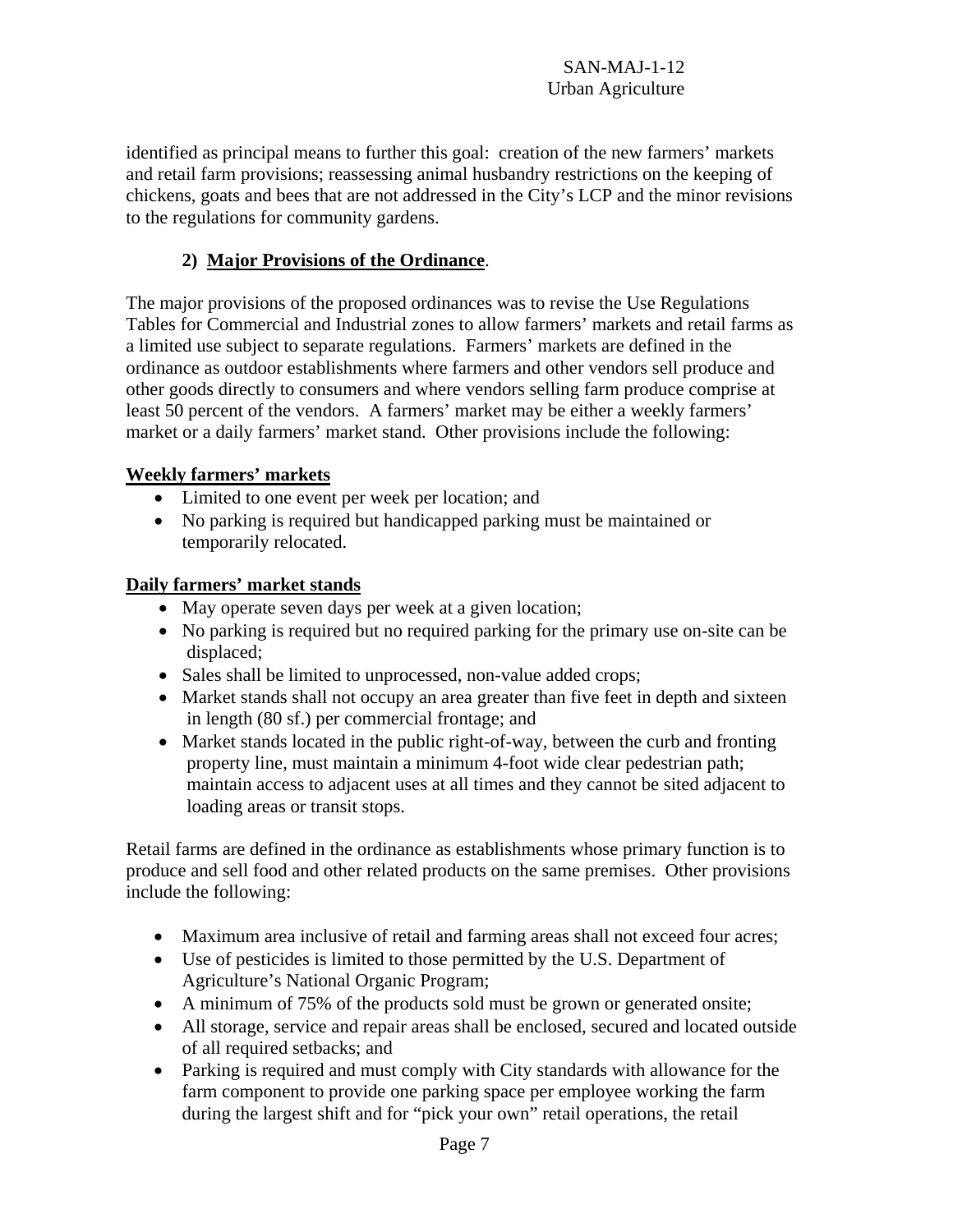identified as principal means to further this goal: creation of the new farmers' markets and retail farm provisions; reassessing animal husbandry restrictions on the keeping of chickens, goats and bees that are not addressed in the City's LCP and the minor revisions to the regulations for community gardens.

# **2) Major Provisions of the Ordinance**.

The major provisions of the proposed ordinances was to revise the Use Regulations Tables for Commercial and Industrial zones to allow farmers' markets and retail farms as a limited use subject to separate regulations. Farmers' markets are defined in the ordinance as outdoor establishments where farmers and other vendors sell produce and other goods directly to consumers and where vendors selling farm produce comprise at least 50 percent of the vendors. A farmers' market may be either a weekly farmers' market or a daily farmers' market stand. Other provisions include the following:

# **Weekly farmers' markets**

- Limited to one event per week per location; and
- No parking is required but handicapped parking must be maintained or temporarily relocated.

# **Daily farmers' market stands**

- May operate seven days per week at a given location;
- No parking is required but no required parking for the primary use on-site can be displaced;
- Sales shall be limited to unprocessed, non-value added crops;
- Market stands shall not occupy an area greater than five feet in depth and sixteen in length (80 sf.) per commercial frontage; and
- Market stands located in the public right-of-way, between the curb and fronting property line, must maintain a minimum 4-foot wide clear pedestrian path; maintain access to adjacent uses at all times and they cannot be sited adjacent to loading areas or transit stops.

Retail farms are defined in the ordinance as establishments whose primary function is to produce and sell food and other related products on the same premises. Other provisions include the following:

- Maximum area inclusive of retail and farming areas shall not exceed four acres;
- Use of pesticides is limited to those permitted by the U.S. Department of Agriculture's National Organic Program;
- A minimum of 75% of the products sold must be grown or generated onsite;
- All storage, service and repair areas shall be enclosed, secured and located outside of all required setbacks; and
- Parking is required and must comply with City standards with allowance for the farm component to provide one parking space per employee working the farm during the largest shift and for "pick your own" retail operations, the retail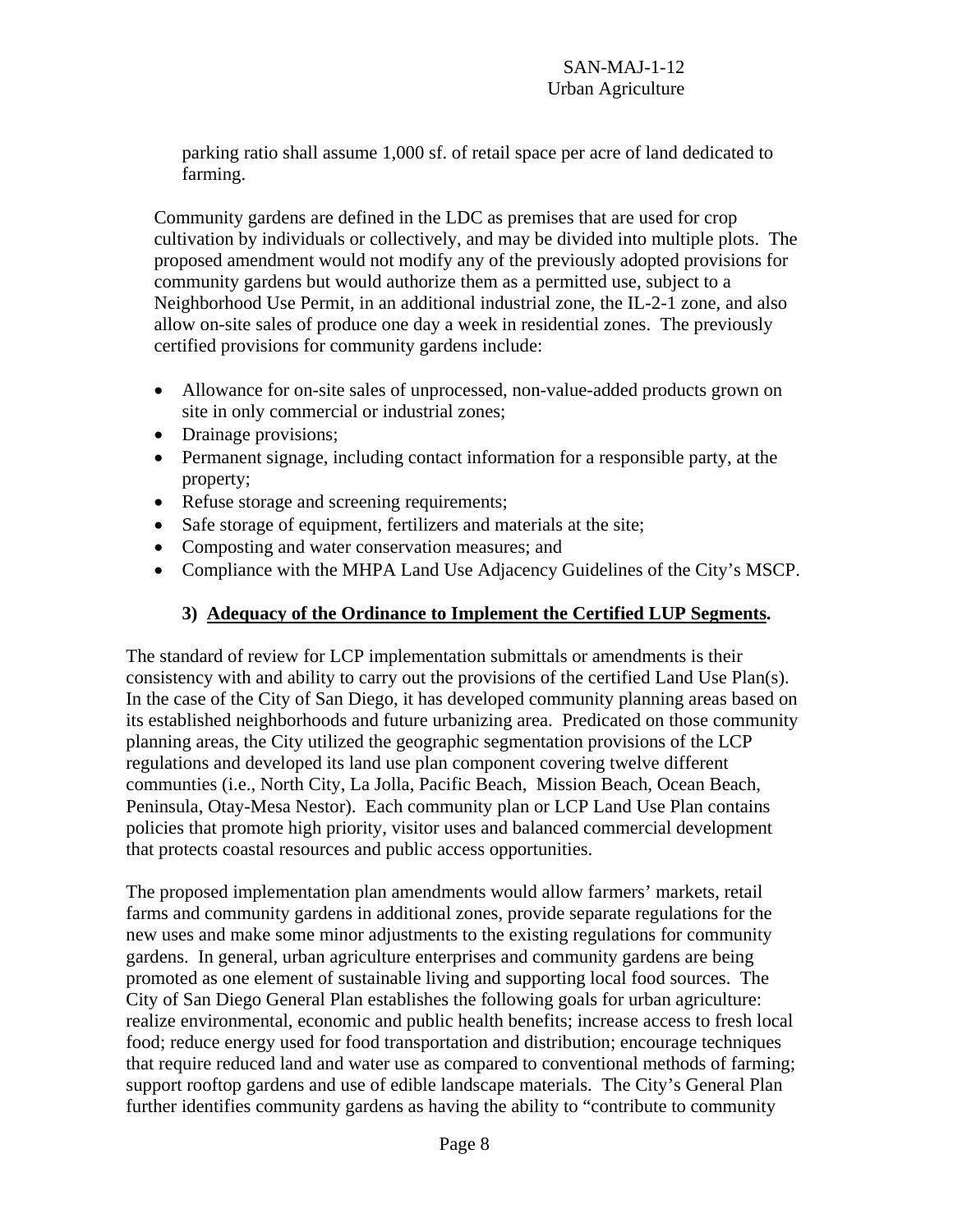parking ratio shall assume 1,000 sf. of retail space per acre of land dedicated to farming.

Community gardens are defined in the LDC as premises that are used for crop cultivation by individuals or collectively, and may be divided into multiple plots. The proposed amendment would not modify any of the previously adopted provisions for community gardens but would authorize them as a permitted use, subject to a Neighborhood Use Permit, in an additional industrial zone, the IL-2-1 zone, and also allow on-site sales of produce one day a week in residential zones. The previously certified provisions for community gardens include:

- Allowance for on-site sales of unprocessed, non-value-added products grown on site in only commercial or industrial zones;
- Drainage provisions;
- Permanent signage, including contact information for a responsible party, at the property;
- Refuse storage and screening requirements;
- Safe storage of equipment, fertilizers and materials at the site;
- Composting and water conservation measures; and
- Compliance with the MHPA Land Use Adjacency Guidelines of the City's MSCP.

# **3) Adequacy of the Ordinance to Implement the Certified LUP Segments.**

The standard of review for LCP implementation submittals or amendments is their consistency with and ability to carry out the provisions of the certified Land Use Plan(s). In the case of the City of San Diego, it has developed community planning areas based on its established neighborhoods and future urbanizing area. Predicated on those community planning areas, the City utilized the geographic segmentation provisions of the LCP regulations and developed its land use plan component covering twelve different communties (i.e., North City, La Jolla, Pacific Beach, Mission Beach, Ocean Beach, Peninsula, Otay-Mesa Nestor). Each community plan or LCP Land Use Plan contains policies that promote high priority, visitor uses and balanced commercial development that protects coastal resources and public access opportunities.

The proposed implementation plan amendments would allow farmers' markets, retail farms and community gardens in additional zones, provide separate regulations for the new uses and make some minor adjustments to the existing regulations for community gardens. In general, urban agriculture enterprises and community gardens are being promoted as one element of sustainable living and supporting local food sources. The City of San Diego General Plan establishes the following goals for urban agriculture: realize environmental, economic and public health benefits; increase access to fresh local food; reduce energy used for food transportation and distribution; encourage techniques that require reduced land and water use as compared to conventional methods of farming; support rooftop gardens and use of edible landscape materials. The City's General Plan further identifies community gardens as having the ability to "contribute to community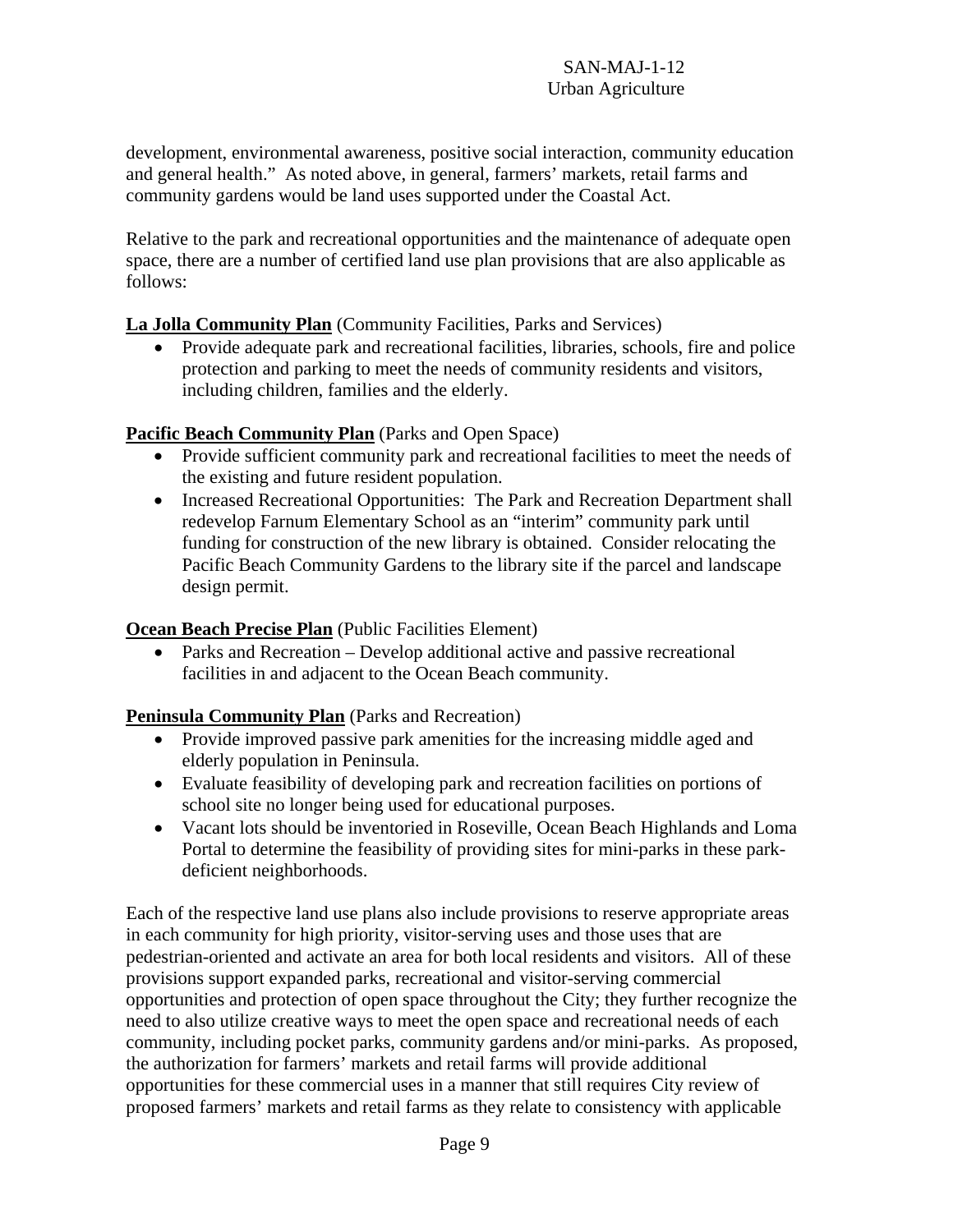development, environmental awareness, positive social interaction, community education and general health." As noted above, in general, farmers' markets, retail farms and community gardens would be land uses supported under the Coastal Act.

Relative to the park and recreational opportunities and the maintenance of adequate open space, there are a number of certified land use plan provisions that are also applicable as follows:

# **La Jolla Community Plan** (Community Facilities, Parks and Services)

• Provide adequate park and recreational facilities, libraries, schools, fire and police protection and parking to meet the needs of community residents and visitors, including children, families and the elderly.

# **Pacific Beach Community Plan** (Parks and Open Space)

- Provide sufficient community park and recreational facilities to meet the needs of the existing and future resident population.
- Increased Recreational Opportunities: The Park and Recreation Department shall redevelop Farnum Elementary School as an "interim" community park until funding for construction of the new library is obtained. Consider relocating the Pacific Beach Community Gardens to the library site if the parcel and landscape design permit.

# **Ocean Beach Precise Plan** (Public Facilities Element)

 Parks and Recreation – Develop additional active and passive recreational facilities in and adjacent to the Ocean Beach community.

# **Peninsula Community Plan** (Parks and Recreation)

- Provide improved passive park amenities for the increasing middle aged and elderly population in Peninsula.
- Evaluate feasibility of developing park and recreation facilities on portions of school site no longer being used for educational purposes.
- Vacant lots should be inventoried in Roseville, Ocean Beach Highlands and Loma Portal to determine the feasibility of providing sites for mini-parks in these parkdeficient neighborhoods.

Each of the respective land use plans also include provisions to reserve appropriate areas in each community for high priority, visitor-serving uses and those uses that are pedestrian-oriented and activate an area for both local residents and visitors. All of these provisions support expanded parks, recreational and visitor-serving commercial opportunities and protection of open space throughout the City; they further recognize the need to also utilize creative ways to meet the open space and recreational needs of each community, including pocket parks, community gardens and/or mini-parks. As proposed, the authorization for farmers' markets and retail farms will provide additional opportunities for these commercial uses in a manner that still requires City review of proposed farmers' markets and retail farms as they relate to consistency with applicable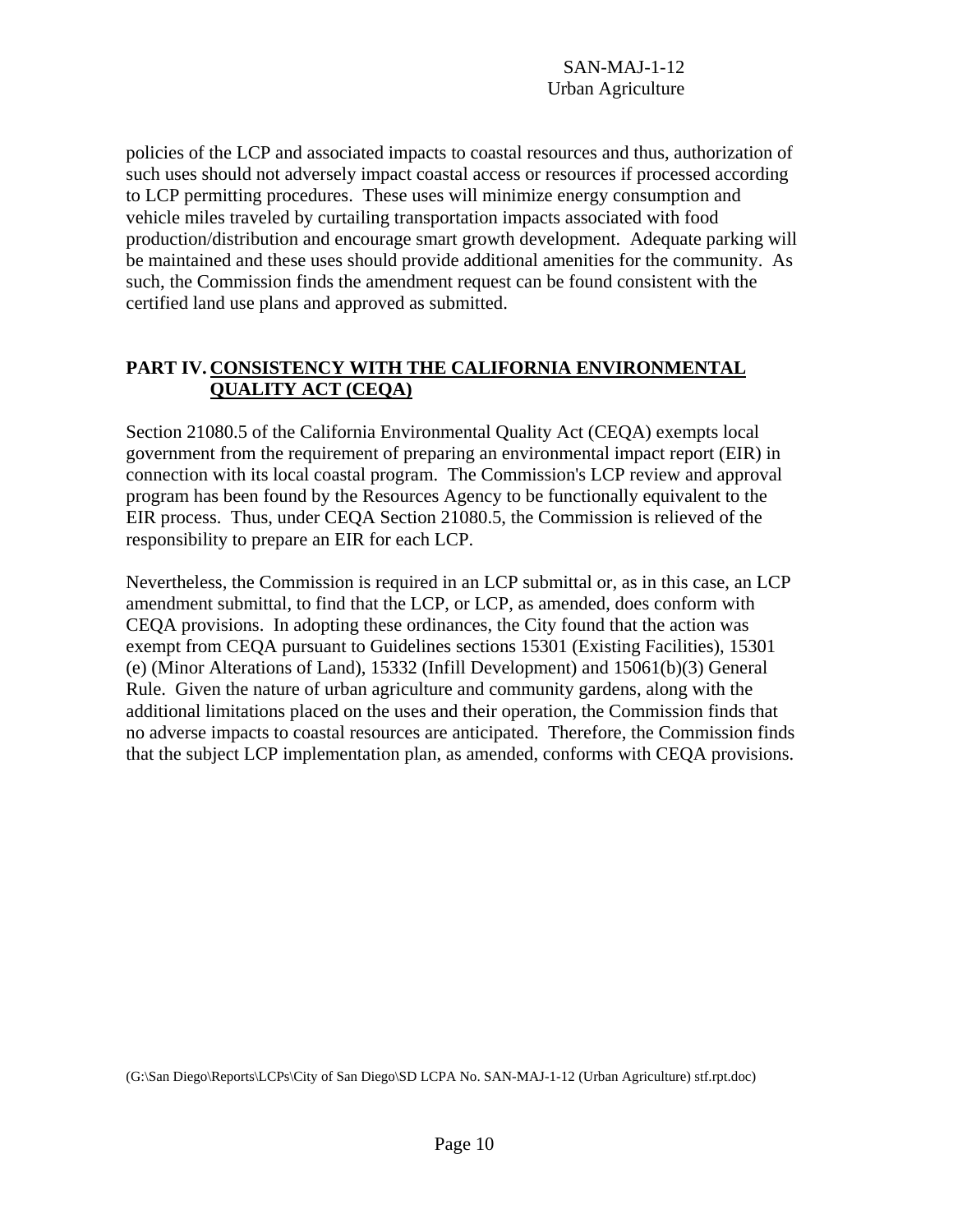policies of the LCP and associated impacts to coastal resources and thus, authorization of such uses should not adversely impact coastal access or resources if processed according to LCP permitting procedures. These uses will minimize energy consumption and vehicle miles traveled by curtailing transportation impacts associated with food production/distribution and encourage smart growth development. Adequate parking will be maintained and these uses should provide additional amenities for the community. As such, the Commission finds the amendment request can be found consistent with the certified land use plans and approved as submitted.

# **PART IV. CONSISTENCY WITH THE CALIFORNIA ENVIRONMENTAL QUALITY ACT (CEQA)**

Section 21080.5 of the California Environmental Quality Act (CEQA) exempts local government from the requirement of preparing an environmental impact report (EIR) in connection with its local coastal program. The Commission's LCP review and approval program has been found by the Resources Agency to be functionally equivalent to the EIR process. Thus, under CEQA Section 21080.5, the Commission is relieved of the responsibility to prepare an EIR for each LCP.

Nevertheless, the Commission is required in an LCP submittal or, as in this case, an LCP amendment submittal, to find that the LCP, or LCP, as amended, does conform with CEQA provisions. In adopting these ordinances, the City found that the action was exempt from CEQA pursuant to Guidelines sections 15301 (Existing Facilities), 15301 (e) (Minor Alterations of Land), 15332 (Infill Development) and 15061(b)(3) General Rule. Given the nature of urban agriculture and community gardens, along with the additional limitations placed on the uses and their operation, the Commission finds that no adverse impacts to coastal resources are anticipated. Therefore, the Commission finds that the subject LCP implementation plan, as amended, conforms with CEQA provisions.

(G:\San Diego\Reports\LCPs\City of San Diego\SD LCPA No. SAN-MAJ-1-12 (Urban Agriculture) stf.rpt.doc)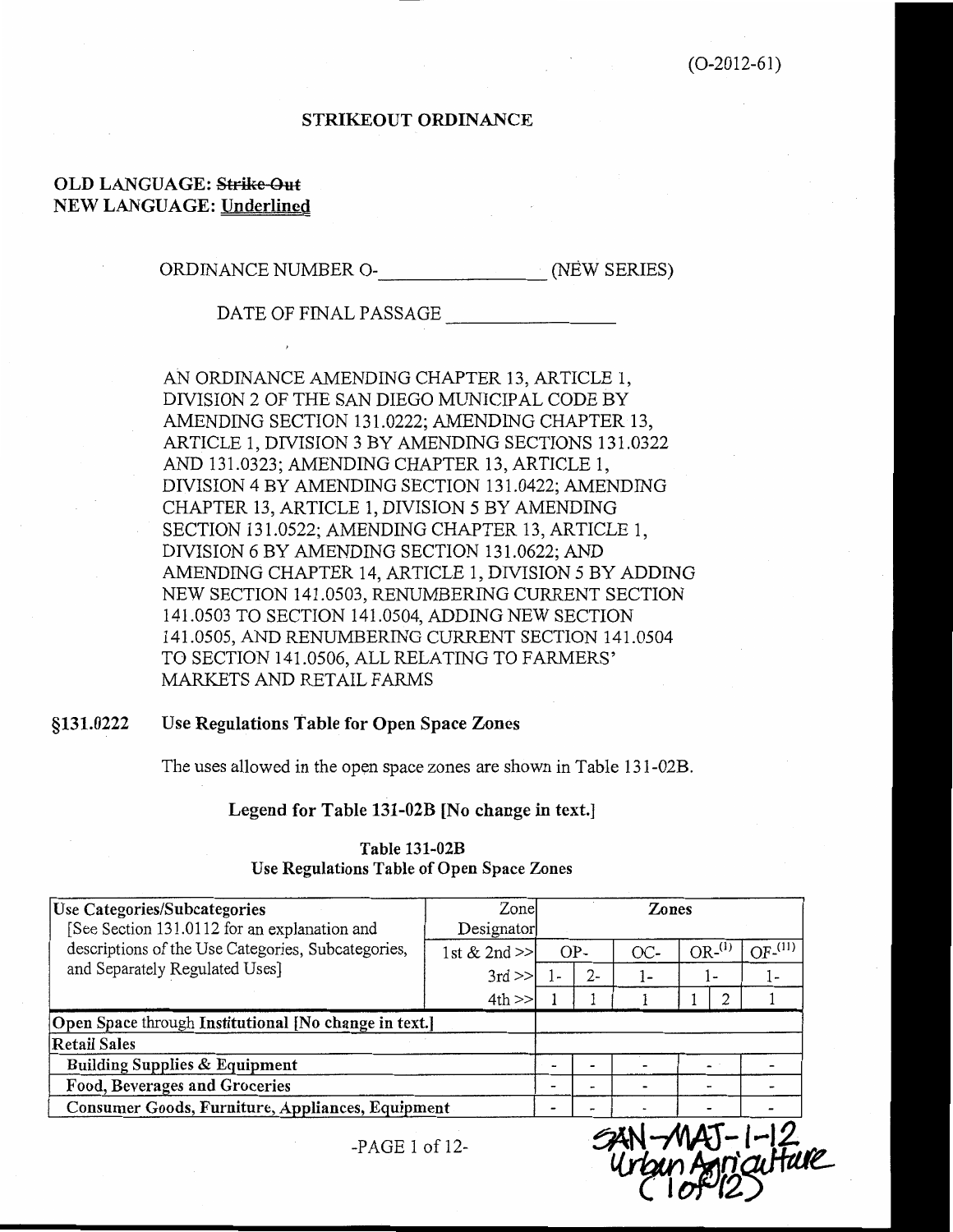### **STRIKEOUT ORDINANCE**

### **OLD LANGUAGE: Strike-Out NEW LANGUAGE: Underlined**

ORDINANCE NUMBER O- (NEW SERIES)

DATE OF FINAL PASSAGE

AN ORDINANCE AMENDING CHAPTER 13, ARTICLE 1, DIVISION 2 OF THE SAN DIEGO MUNICIPAL CODE BY AMENDING SECTION 131.0222; AMENDING CHAPTER 13, ARTICLE 1, DIVISION 3 BY AMENDING SECTIONS 131.0322 AND 131.0323; AMENDING CHAPTER 13, ARTICLE 1, DIVISION 4 BY AMENDING SECTION 131.0422; AMENDING CHAPTER 13, ARTICLE 1, DIVISION 5 BY AMENDING SECTION 131.0522; AMENDING CHAPTER 13, ARTICLE 1, DIVISION 6 BY AMENDING SECTION 131.0622; AND AMENDING CHAPTER 14, ARTICLE 1, DIVISION 5 BY ADDING NEW SECTION 141.0503, RENUMBERING CURRENT SECTION 141.0503 TO SECTION 141.0504, ADDING NEW SECTION 141.0505, AND RENUMBERING CURRENT SECTION 141.0504 TO SECTION 141.0506, ALL RELATING TO FARMERS' MARKETS AND RETAIL FARMS

#### Use Regulations Table for Open Space Zones §131.0222

The uses allowed in the open space zones are shown in Table 131-02B.

Legend for Table 131-02B [No change in text.]

| <b>Use Categories/Subcategories</b><br>[See Section 131.0112 for an explanation and | Zone<br>Designator |              |       | Zones |          |           |
|-------------------------------------------------------------------------------------|--------------------|--------------|-------|-------|----------|-----------|
| descriptions of the Use Categories, Subcategories,                                  | 1st & 2nd >>       |              | $OP-$ | OC-   | $OR-(1)$ | $OF-(11)$ |
| and Separately Regulated Uses]                                                      | $3rd \gg$          | $\epsilon =$ | $2-$  | ۔ ا   | ı٠       | ı –       |
|                                                                                     | 4th                |              |       |       |          |           |
| Open Space through Institutional [No change in text.]                               |                    |              |       |       |          |           |
| Retail Sales                                                                        |                    |              |       |       |          |           |
| Building Supplies & Equipment                                                       |                    |              |       |       |          |           |
| Food, Beverages and Groceries                                                       |                    | -            |       |       |          |           |
| Consumer Goods, Furniture, Appliances, Equipment                                    |                    |              |       |       |          |           |
| $-PAGE 1 of 12$ -                                                                   |                    |              |       |       |          | aifure    |

Table 131-02B Use Regulations Table of Open Space Zones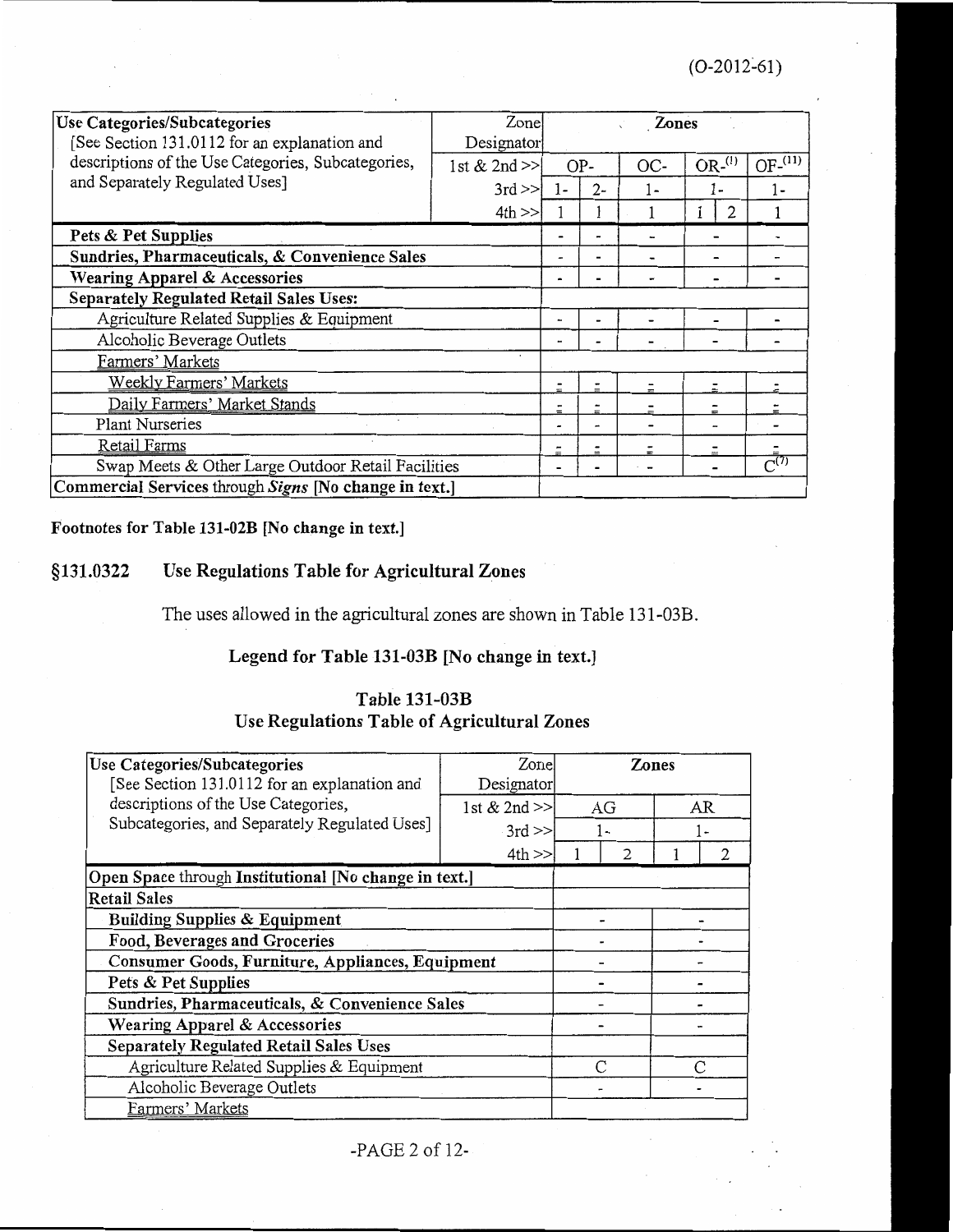| Use Categories/Subcategories<br>[See Section 131.0112 for an explanation and | Zone<br>Designator |                          |       | <b>Zones</b> |          |                      |
|------------------------------------------------------------------------------|--------------------|--------------------------|-------|--------------|----------|----------------------|
| descriptions of the Use Categories, Subcategories,                           | 1st $& 2nd \geq$   | OP-                      |       | OC-          | $OR-(1)$ | OF <sup>(11)</sup>   |
| and Separately Regulated Uses]                                               | $3rd \gg$          | $\mathbf{I}$             | $2 -$ | 1 –          | 1-       | 1 -                  |
|                                                                              | 4th                |                          |       |              |          |                      |
| Pets & Pet Supplies                                                          |                    |                          |       |              |          |                      |
| Sundries, Pharmaceuticals, & Convenience Sales                               |                    |                          |       |              |          |                      |
| Wearing Apparel & Accessories                                                |                    |                          |       |              |          |                      |
| <b>Separately Regulated Retail Sales Uses:</b>                               |                    |                          |       |              |          |                      |
| Agriculture Related Supplies & Equipment                                     |                    |                          |       |              |          |                      |
| Alcoholic Beverage Outlets                                                   |                    | $\overline{\phantom{a}}$ |       |              |          |                      |
| Farmers' Markets                                                             | ٠                  |                          |       |              |          |                      |
| <b>Weekly Farmers' Markets</b>                                               |                    |                          |       |              |          |                      |
| Daily Farmers' Market Stands                                                 |                    |                          |       |              | $=$      |                      |
| <b>Plant Nurseries</b>                                                       |                    | -                        |       |              |          |                      |
| Retail Farms                                                                 |                    |                          |       |              |          |                      |
| Swap Meets & Other Large Outdoor Retail Facilities                           |                    |                          |       |              |          | $\overline{C}^{(7)}$ |
| Commercial Services through Signs [No change in text.]                       |                    |                          |       |              |          |                      |

# Footnotes for Table 131-02B [No change in text.]

### §131.0322 Use Regulations Table for Agricultural Zones

The uses allowed in the agricultural zones are shown in Table 131-03B.

# Legend for Table 131-03B [No change in text.]

# **Table 131-03B** Use Regulations Table of Agricultural Zones

| Use Categories/Subcategories<br>[See Section 131.0112 for an explanation and | Zonel<br>Designator | Zones |    |           |
|------------------------------------------------------------------------------|---------------------|-------|----|-----------|
| descriptions of the Use Categories,                                          | 1st $& 2nd \geq$    | AG    | AR |           |
| Subcategories, and Separately Regulated Uses]                                | $3rd \gg$           | $1-$  |    | ı.        |
|                                                                              | 4th                 |       |    |           |
| Open Space through Institutional [No change in text.]                        |                     |       |    |           |
| <b>Retail Sales</b>                                                          |                     |       |    |           |
| <b>Building Supplies &amp; Equipment</b>                                     |                     |       |    |           |
| Food, Beverages and Groceries                                                |                     |       |    |           |
| Consumer Goods, Furniture, Appliances, Equipment                             |                     |       |    |           |
| Pets & Pet Supplies                                                          |                     |       |    |           |
| Sundries, Pharmaceuticals, & Convenience Sales                               |                     |       |    |           |
| Wearing Apparel & Accessories                                                |                     |       |    |           |
| <b>Separately Regulated Retail Sales Uses</b>                                |                     |       |    |           |
| Agriculture Related Supplies & Equipment                                     |                     | C     |    | $\subset$ |
| Alcoholic Beverage Outlets                                                   |                     |       |    |           |
| Farmers' Markets                                                             |                     |       |    |           |

-PAGE 2 of 12-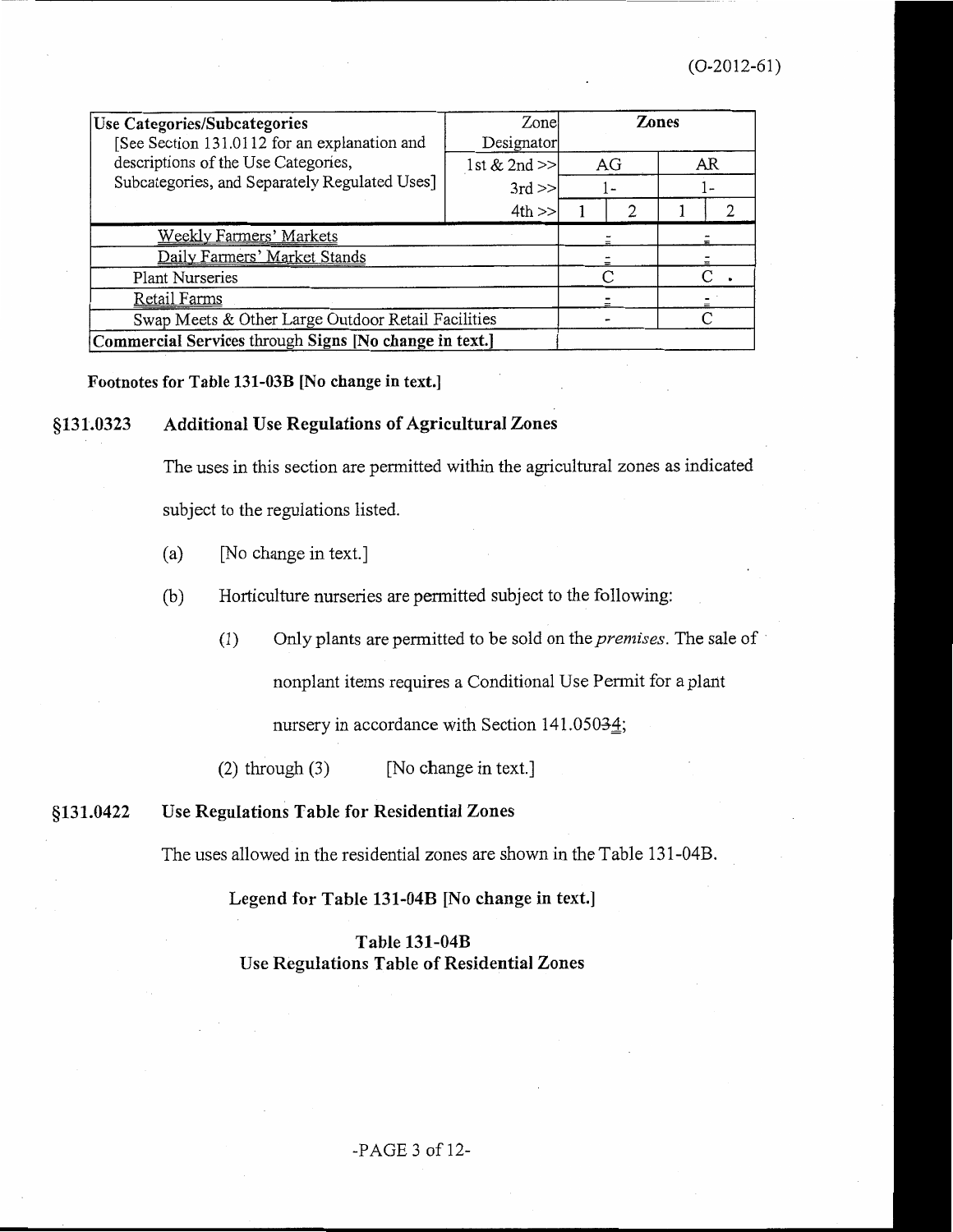| Use Categories/Subcategories                                                        | Zonel                        | Zones |    |  |    |  |  |  |
|-------------------------------------------------------------------------------------|------------------------------|-------|----|--|----|--|--|--|
| [See Section 131.0112 for an explanation and<br>descriptions of the Use Categories, | Designator<br>1st & 2nd $>>$ |       | AG |  | AR |  |  |  |
| Subcategories, and Separately Regulated Uses]                                       | $3rd \gg$                    |       |    |  |    |  |  |  |
|                                                                                     | 4th                          |       | 2  |  |    |  |  |  |
| Weekly Farmers' Markets                                                             |                              |       |    |  |    |  |  |  |
| Daily Farmers' Market Stands                                                        |                              |       |    |  |    |  |  |  |
| Plant Nurseries                                                                     |                              |       | ⊂  |  |    |  |  |  |
| <b>Retail Farms</b>                                                                 |                              |       |    |  |    |  |  |  |
| Swap Meets & Other Large Outdoor Retail Facilities                                  |                              |       |    |  |    |  |  |  |
| Commercial Services through Signs [No change in text.]                              |                              |       |    |  |    |  |  |  |

Footnotes for Table 131-03B [No change in text.]

#### **Additional Use Regulations of Agricultural Zones** §131.0323

The uses in this section are permitted within the agricultural zones as indicated

subject to the regulations listed.

- [No change in text.]  $(a)$
- $(b)$ Horticulture nurseries are permitted subject to the following:
	- Only plants are permitted to be sold on the *premises*. The sale of  $(1)$

nonplant items requires a Conditional Use Permit for a plant

nursery in accordance with Section 141.05034;

 $(2)$  through  $(3)$ [No change in text.]

#### §131.0422 Use Regulations Table for Residential Zones

The uses allowed in the residential zones are shown in the Table 131-04B.

Legend for Table 131-04B [No change in text.]

### Table 131-04B Use Regulations Table of Residential Zones

 $-PAGE 3 of 12-$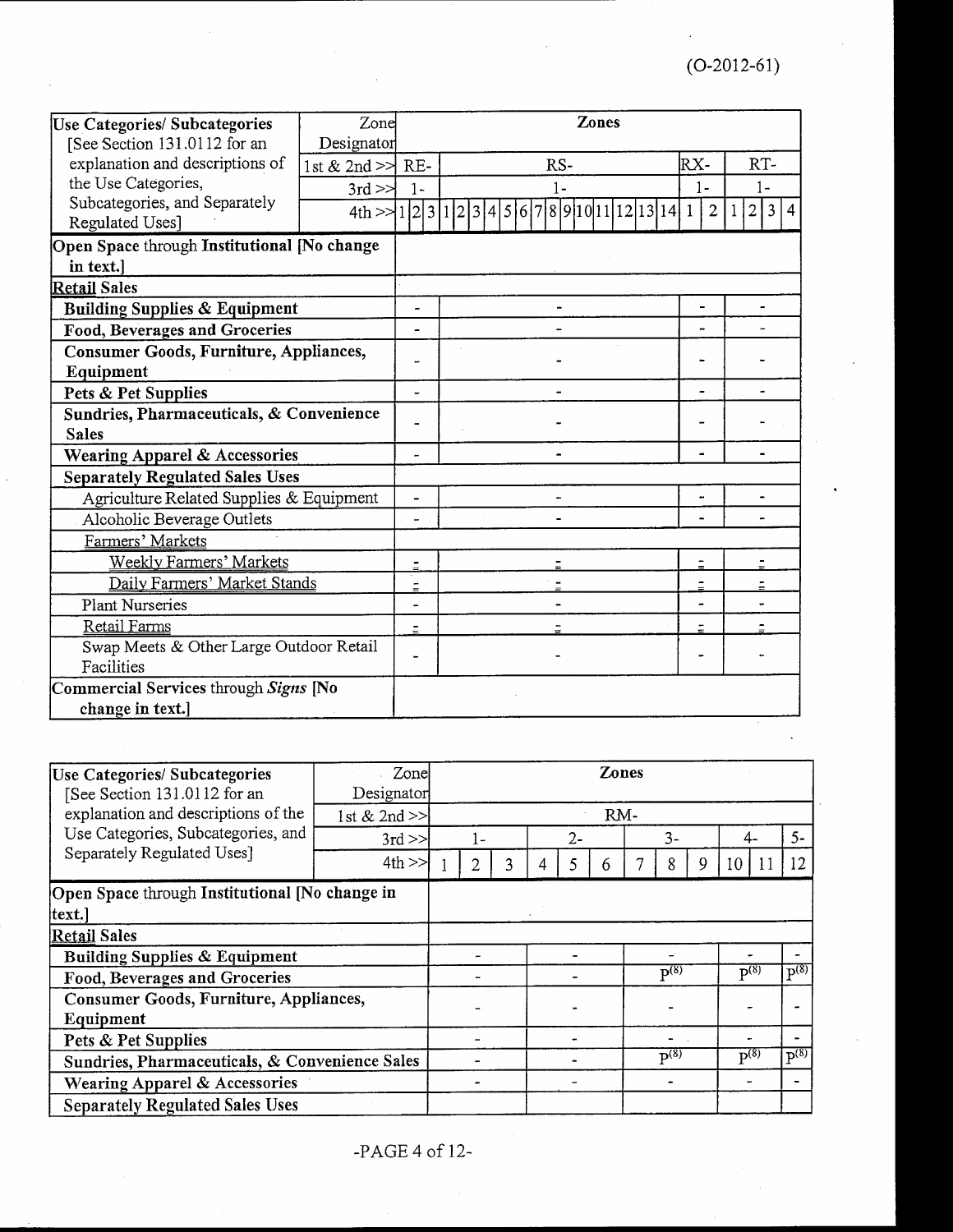| Use Categories/ Subcategories               | Zone               | Zones                    |                     |                              |                                                    |  |  |  |  |  |
|---------------------------------------------|--------------------|--------------------------|---------------------|------------------------------|----------------------------------------------------|--|--|--|--|--|
| [See Section 131.0112 for an                | Designator         |                          |                     |                              |                                                    |  |  |  |  |  |
| explanation and descriptions of             | 1st & 2nd $>>$ RE- |                          | RS-                 | RX-                          | RT-                                                |  |  |  |  |  |
| the Use Categories,                         | $3rd \geq \geq$    | $1 -$                    | $1 -$               | $1 -$                        | $1 -$                                              |  |  |  |  |  |
| Subcategories, and Separately               | 4th > 1231123      |                          | 891011121314<br>561 | $\overline{2}$               | $\overline{3}$<br>$\overline{2}$<br>$\overline{4}$ |  |  |  |  |  |
| Regulated Uses]                             |                    |                          |                     |                              |                                                    |  |  |  |  |  |
| Open Space through Institutional [No change |                    |                          |                     |                              |                                                    |  |  |  |  |  |
| in text.]                                   |                    |                          |                     |                              |                                                    |  |  |  |  |  |
| Retail Sales                                |                    |                          |                     |                              |                                                    |  |  |  |  |  |
| <b>Building Supplies &amp; Equipment</b>    |                    | Ĭ.                       |                     | $\qquad \qquad \blacksquare$ |                                                    |  |  |  |  |  |
| Food, Beverages and Groceries               |                    | ۰                        |                     |                              |                                                    |  |  |  |  |  |
| Consumer Goods, Furniture, Appliances,      |                    | Ĩ.                       |                     |                              |                                                    |  |  |  |  |  |
| Equipment                                   |                    |                          |                     |                              |                                                    |  |  |  |  |  |
| Pets & Pet Supplies                         |                    |                          |                     |                              |                                                    |  |  |  |  |  |
| Sundries, Pharmaceuticals, & Convenience    |                    |                          |                     |                              |                                                    |  |  |  |  |  |
| <b>Sales</b>                                |                    |                          |                     |                              |                                                    |  |  |  |  |  |
| <b>Wearing Apparel &amp; Accessories</b>    |                    | $\blacksquare$           |                     |                              |                                                    |  |  |  |  |  |
| <b>Separately Regulated Sales Uses</b>      |                    |                          |                     |                              |                                                    |  |  |  |  |  |
| Agriculture Related Supplies & Equipment    |                    | ÷                        |                     |                              |                                                    |  |  |  |  |  |
| Alcoholic Beverage Outlets                  |                    | $\overline{\phantom{a}}$ |                     |                              |                                                    |  |  |  |  |  |
| Farmers' Markets                            |                    |                          |                     |                              |                                                    |  |  |  |  |  |
| <b>Weekly Farmers' Markets</b>              |                    | $=$                      |                     |                              |                                                    |  |  |  |  |  |
| Daily Farmers' Market Stands                |                    | $\equiv$                 |                     | $\ddot{=}$                   |                                                    |  |  |  |  |  |
| <b>Plant Nurseries</b>                      |                    |                          |                     |                              |                                                    |  |  |  |  |  |
| Retail Farms                                |                    | $\equiv$                 |                     |                              |                                                    |  |  |  |  |  |
| Swap Meets & Other Large Outdoor Retail     |                    |                          |                     |                              |                                                    |  |  |  |  |  |
| Facilities                                  |                    |                          |                     |                              |                                                    |  |  |  |  |  |
| Commercial Services through Signs [No       |                    |                          |                     |                              |                                                    |  |  |  |  |  |
| change in text.]                            |                    |                          |                     |                              |                                                    |  |  |  |  |  |

| Use Categories/ Subcategories<br>[See Section 131.0112 for an | Zone<br>Designator |     |  |   |       | <b>Zones</b> |  |                      |   |                      |                      |
|---------------------------------------------------------------|--------------------|-----|--|---|-------|--------------|--|----------------------|---|----------------------|----------------------|
| explanation and descriptions of the                           | 1st & 2nd $>>$     | RM- |  |   |       |              |  |                      |   |                      |                      |
| Use Categories, Subcategories, and                            | $3rd \ge$          | 1 – |  |   | $2 -$ |              |  | $\overline{3}$ -     |   | 4-                   | $5-$                 |
| Separately Regulated Uses]                                    | $4th \gg$          | 2   |  | 4 |       | 6            |  | 8                    | 9 | 10                   | 12                   |
| Open Space through Institutional [No change in                |                    |     |  |   |       |              |  |                      |   |                      |                      |
| text.]                                                        |                    |     |  |   |       |              |  |                      |   |                      |                      |
| <b>Retail Sales</b>                                           |                    |     |  |   |       |              |  |                      |   |                      |                      |
| Building Supplies & Equipment                                 |                    |     |  |   |       |              |  |                      |   |                      |                      |
| Food, Beverages and Groceries                                 |                    |     |  |   |       |              |  | $\overline{p^{(8)}}$ |   | $P^{(8)}$            | $\overline{P^{(8)}}$ |
| Consumer Goods, Furniture, Appliances,<br>Equipment           |                    |     |  |   |       |              |  |                      |   |                      |                      |
| Pets & Pet Supplies                                           |                    |     |  |   |       |              |  |                      |   |                      |                      |
| Sundries, Pharmaceuticals, & Convenience Sales                |                    |     |  |   |       |              |  | $P^{(8)}$            |   | $\overline{P^{(8)}}$ | $P^{(8)}$            |
| Wearing Apparel & Accessories                                 |                    |     |  |   |       |              |  |                      |   |                      |                      |
| <b>Separately Regulated Sales Uses</b>                        |                    |     |  |   |       |              |  |                      |   |                      |                      |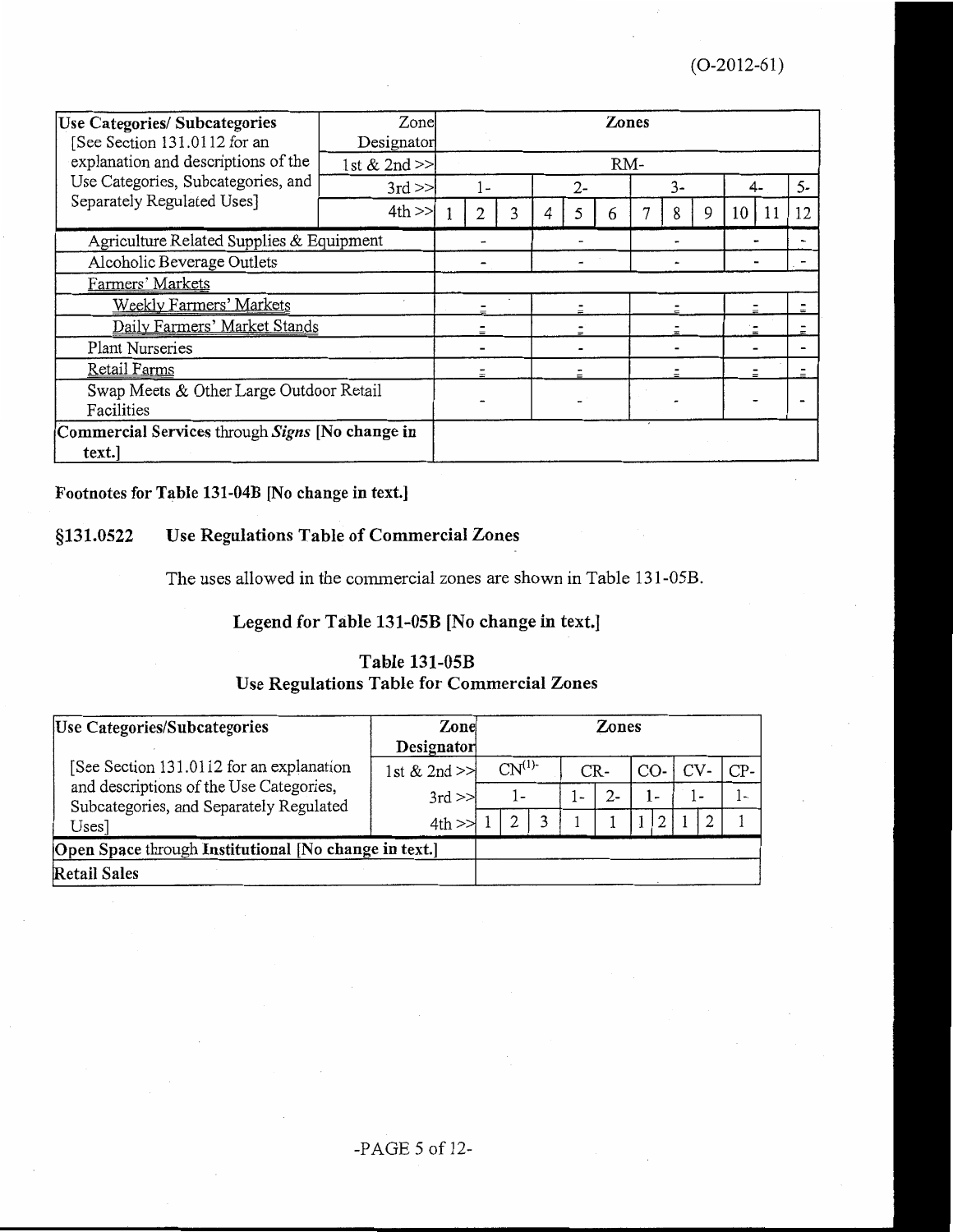| <b>Use Categories/Subcategories</b><br>See Section 131.0112 for an | Zone<br>Designator |  |       |  |      | Zones |  |                |   |    |    |      |
|--------------------------------------------------------------------|--------------------|--|-------|--|------|-------|--|----------------|---|----|----|------|
| explanation and descriptions of the                                | 1st & 2nd $>>$     |  |       |  |      | RM-   |  |                |   |    |    |      |
| Use Categories, Subcategories, and                                 | $3rd \gg$          |  | $1 -$ |  | $2-$ |       |  | $\overline{3}$ |   | 4- |    | $5-$ |
| Separately Regulated Uses]                                         | $4th$ $>>$         |  |       |  |      | 6     |  | 8              | 9 | 10 | 11 | 12   |
| Agriculture Related Supplies & Equipment                           |                    |  |       |  |      |       |  |                |   |    |    |      |
| Alcoholic Beverage Outlets                                         |                    |  |       |  |      |       |  |                |   |    |    |      |
| Farmers' Markets                                                   |                    |  |       |  |      |       |  |                |   |    |    |      |
| <b>Weekly Farmers' Markets</b>                                     |                    |  |       |  |      |       |  |                |   |    |    |      |
| Daily Farmers' Market Stands                                       |                    |  |       |  |      |       |  |                |   |    |    |      |
| Plant Nurseries                                                    |                    |  |       |  |      |       |  |                |   |    |    |      |
| Retail Farms                                                       |                    |  |       |  |      |       |  |                |   |    |    |      |
| Swap Meets & Other Large Outdoor Retail<br>Facilities              |                    |  |       |  |      |       |  |                |   |    |    |      |
| Commercial Services through Signs [No change in<br>text.           |                    |  |       |  |      |       |  |                |   |    |    |      |

# Footnotes for Table 131-04B [No change in text.]

### §131.0522 Use Regulations Table of Commercial Zones

The uses allowed in the commercial zones are shown in Table 131-05B.

# Legend for Table 131-05B [No change in text.]

# Table 131-05B Use Regulations Table for Commercial Zones

| Use Categories/Subcategories                                                       | Zone         | Zones                    |    |  |       |                       |     |               |       |  |     |
|------------------------------------------------------------------------------------|--------------|--------------------------|----|--|-------|-----------------------|-----|---------------|-------|--|-----|
|                                                                                    | Designator   |                          |    |  |       |                       |     |               |       |  |     |
| [See Section 131.0112 for an explanation                                           | 1st & 2nd >> | CN <sup>(1)</sup><br>CR- |    |  |       | CV <sub></sub><br>CO- |     |               | $CP-$ |  |     |
| and descriptions of the Use Categories,<br>Subcategories, and Separately Regulated | $3rd \gg$    |                          | 1- |  | $1 -$ |                       | - ا |               | - ا   |  | ı – |
| Uses]                                                                              | 4th          |                          |    |  |       |                       |     | $\mathcal{L}$ |       |  |     |
| Open Space through Institutional [No change in text.]                              |              |                          |    |  |       |                       |     |               |       |  |     |
| <b>Retail Sales</b>                                                                |              |                          |    |  |       |                       |     |               |       |  |     |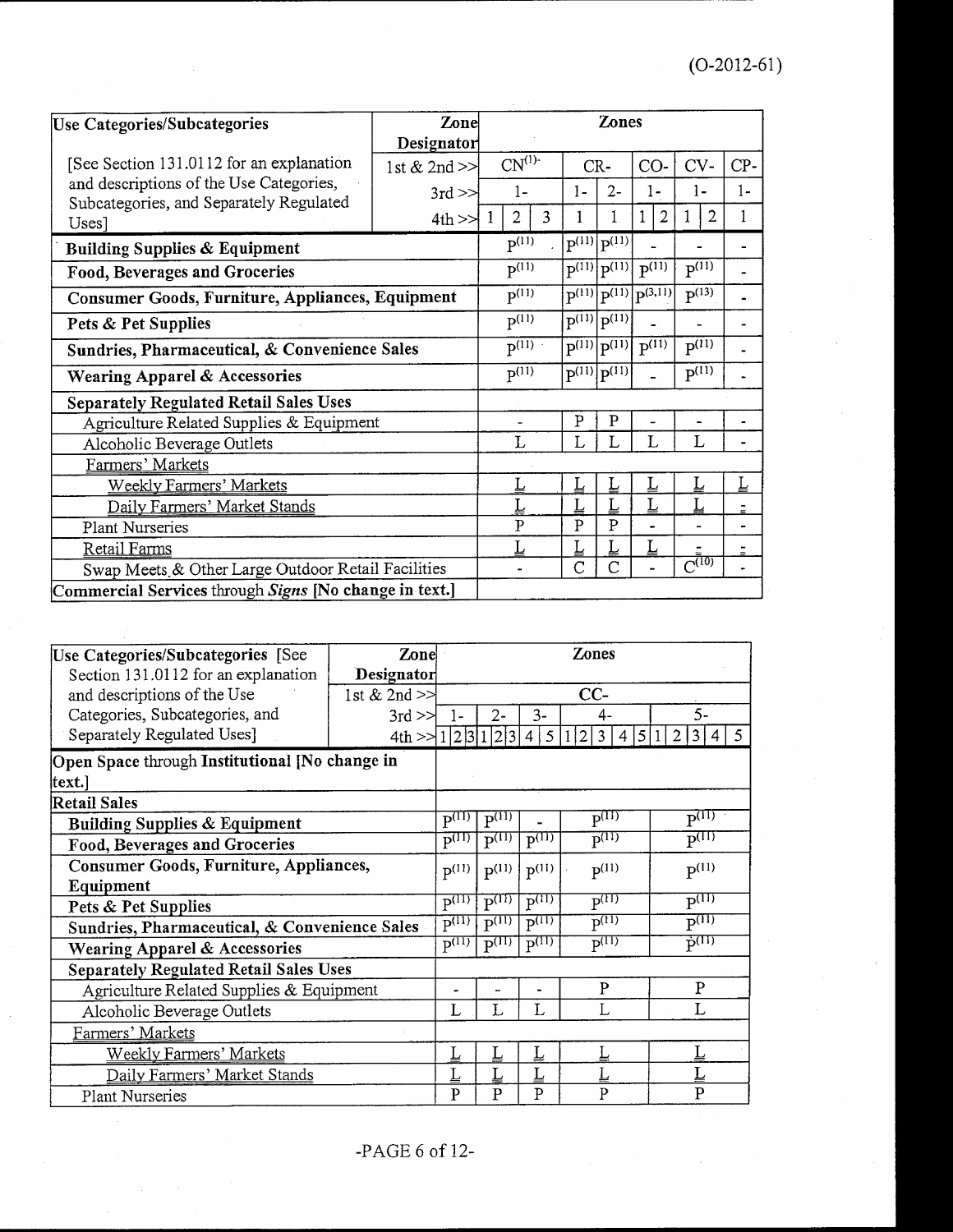| <b>Use Categories/Subcategories</b>                                                | Zone             |  |                                                          |            |                | Zones                          |                             |                |                       |                |
|------------------------------------------------------------------------------------|------------------|--|----------------------------------------------------------|------------|----------------|--------------------------------|-----------------------------|----------------|-----------------------|----------------|
|                                                                                    | Designator       |  |                                                          |            |                |                                |                             |                |                       |                |
| [See Section 131.0112 for an explanation                                           | 1st & 2nd $\geq$ |  | $CN^{(1)}$                                               |            |                | CR-                            | CO-                         |                | CV-                   | CP-            |
| and descriptions of the Use Categories,<br>Subcategories, and Separately Regulated | $3rd \geq$       |  | $1-$                                                     |            | $1 -$          | $2-$                           |                             | 1-             | 1-                    | $1-$           |
| Uses]                                                                              | $4th \geq 1$     |  | $\overline{2}$                                           | 3          |                |                                |                             | $\overline{2}$ | $\overline{2}$<br>1   | 1              |
| <b>Building Supplies &amp; Equipment</b>                                           |                  |  | $P^{(11)}$                                               |            |                | $P^{(11)} P^{(11)} $           |                             |                |                       |                |
| Food, Beverages and Groceries                                                      |                  |  | $P^{(11)}$                                               |            | p(11)          | $p^{(11)}$                     | $P^{(11)}$                  |                | $P^{(11)}$            |                |
| Consumer Goods, Furniture, Appliances, Equipment                                   |                  |  |                                                          | $P^{(11)}$ |                | $p^{(11)} p^{(11)} p^{(3,11)}$ |                             |                | $\overline{P^{(13)}}$ |                |
| Pets & Pet Supplies                                                                |                  |  | $\overline{P^{(11)}}$<br>$\sqrt{p^{(11)}}$<br>$p^{(11)}$ |            |                |                                |                             |                |                       |                |
| Sundries, Pharmaceutical, & Convenience Sales                                      |                  |  | $\overline{P^{(11)}}$                                    |            | p(11)          | $\overline{p(11)}$             | $\overline{P^{(11)}}$       |                | $\overline{P^{(11)}}$ |                |
| Wearing Apparel & Accessories                                                      |                  |  | $\overline{P^{(11)}}$                                    |            |                | $\overline{P^{(11)}} P^{(11)}$ |                             |                | $P^{(11)}$            |                |
| <b>Separately Regulated Retail Sales Uses</b>                                      |                  |  |                                                          |            |                |                                |                             |                |                       |                |
| Agriculture Related Supplies & Equipment                                           |                  |  |                                                          |            | $\overline{P}$ | P                              |                             |                |                       |                |
| Alcoholic Beverage Outlets                                                         |                  |  | L                                                        |            |                |                                | L                           |                | L                     |                |
| Farmers' Markets                                                                   |                  |  |                                                          |            |                |                                |                             |                |                       |                |
| <b>Weekly Farmers' Markets</b>                                                     |                  |  |                                                          |            |                |                                | Ŀ                           |                | L                     | L              |
| Daily Farmers' Market Stands                                                       |                  |  |                                                          |            |                |                                | $\underline{\underline{L}}$ |                | L                     | $\blacksquare$ |
| Plant Nurseries                                                                    |                  |  | $\overline{P}$                                           |            | $\overline{P}$ | $\mathbf{P}$                   |                             |                |                       |                |
| <b>Retail Farms</b>                                                                |                  |  | L                                                        |            | L              |                                | $\overline{L}$              |                |                       |                |
| Swap Meets & Other Large Outdoor Retail Facilities                                 |                  |  |                                                          |            | Ċ              | C                              |                             |                | $\overline{C^{(10)}}$ |                |
| Commercial Services through Signs [No change in text.]                             |                  |  |                                                          |            |                |                                |                             |                |                       |                |

| Use Categories/Subcategories [See              | Zone              |                       |                       |                       | <b>Zones</b>                   |                                         |  |  |
|------------------------------------------------|-------------------|-----------------------|-----------------------|-----------------------|--------------------------------|-----------------------------------------|--|--|
| Section 131.0112 for an explanation            | Designator        |                       |                       |                       |                                |                                         |  |  |
| and descriptions of the Use                    | 1st $& 2nd \geq$  | CC-                   |                       |                       |                                |                                         |  |  |
| Categories, Subcategories, and                 | $3rd \ge \ge$     | ີ 1-                  | $2 -$                 | $3-$                  | 4-                             | $\zeta$ .                               |  |  |
| Separately Regulated Uses]                     | 4th > 1/2 3 1 2 3 |                       |                       | 5                     | 5<br>$\mathfrak{D}$<br>3       | .5<br>3                                 |  |  |
| Open Space through Institutional [No change in |                   |                       |                       |                       |                                |                                         |  |  |
| text.]                                         |                   |                       |                       |                       |                                |                                         |  |  |
| Retail Sales                                   |                   |                       |                       |                       |                                |                                         |  |  |
| <b>Building Supplies &amp; Equipment</b>       |                   | $P^{(11)}$            | $P^{(1)}$             |                       | $\mathbf{p}^{\text{(II)}}$     | $P^{(11)}$                              |  |  |
| Food, Beverages and Groceries                  |                   | $P^{(II)}$            | $\overline{p(11)}$    | $P^{(1)}$             | $\overline{\mathbf{p}^{(11)}}$ | $\overline{P^{(II)}}$                   |  |  |
| Consumer Goods, Furniture, Appliances,         |                   | $P^{(11)}$            | $P^{(11)}$            | $p^{(11)}$            | $P^{(11)}$                     | $P^{(11)}$                              |  |  |
| Equipment                                      |                   |                       |                       |                       |                                |                                         |  |  |
| Pets & Pet Supplies                            |                   | $\overline{p^{(11)}}$ | $\overline{P^{(11)}}$ | $\overline{P^{(11)}}$ | $\overline{P^{(11)}}$          | $P^{(11)}$                              |  |  |
| Sundries, Pharmaceutical, & Convenience Sales  |                   | $P^{(11)}$            | $\overline{P^{(11)}}$ | $\overline{P^{(11)}}$ | $\overline{P^{(11)}}$          | $\overline{\mathrm{P}^{\mathrm{(11)}}}$ |  |  |
| <b>Wearing Apparel &amp; Accessories</b>       |                   | $p^{(11)}$            | $\overline{P^{(11)}}$ | $\overline{P^{(11)}}$ | $p^{(11)}$                     | $\vec{p}^{(11)}$                        |  |  |
| <b>Separately Regulated Retail Sales Uses</b>  |                   |                       |                       |                       |                                |                                         |  |  |
| Agriculture Related Supplies & Equipment       |                   |                       | ۳                     |                       | P                              | P                                       |  |  |
| Alcoholic Beverage Outlets                     |                   | L                     | L                     | L                     |                                | $\mathbf{I}$ .                          |  |  |
| Farmers' Markets                               |                   |                       |                       |                       |                                |                                         |  |  |
| <b>Weekly Farmers' Markets</b>                 |                   | Ţ                     | L                     | L                     |                                |                                         |  |  |
| Daily Farmers' Market Stands                   |                   |                       |                       | Ţ                     |                                |                                         |  |  |
| Plant Nurseries                                |                   | P                     | P                     | P                     | P                              | $\mathbf{P}$                            |  |  |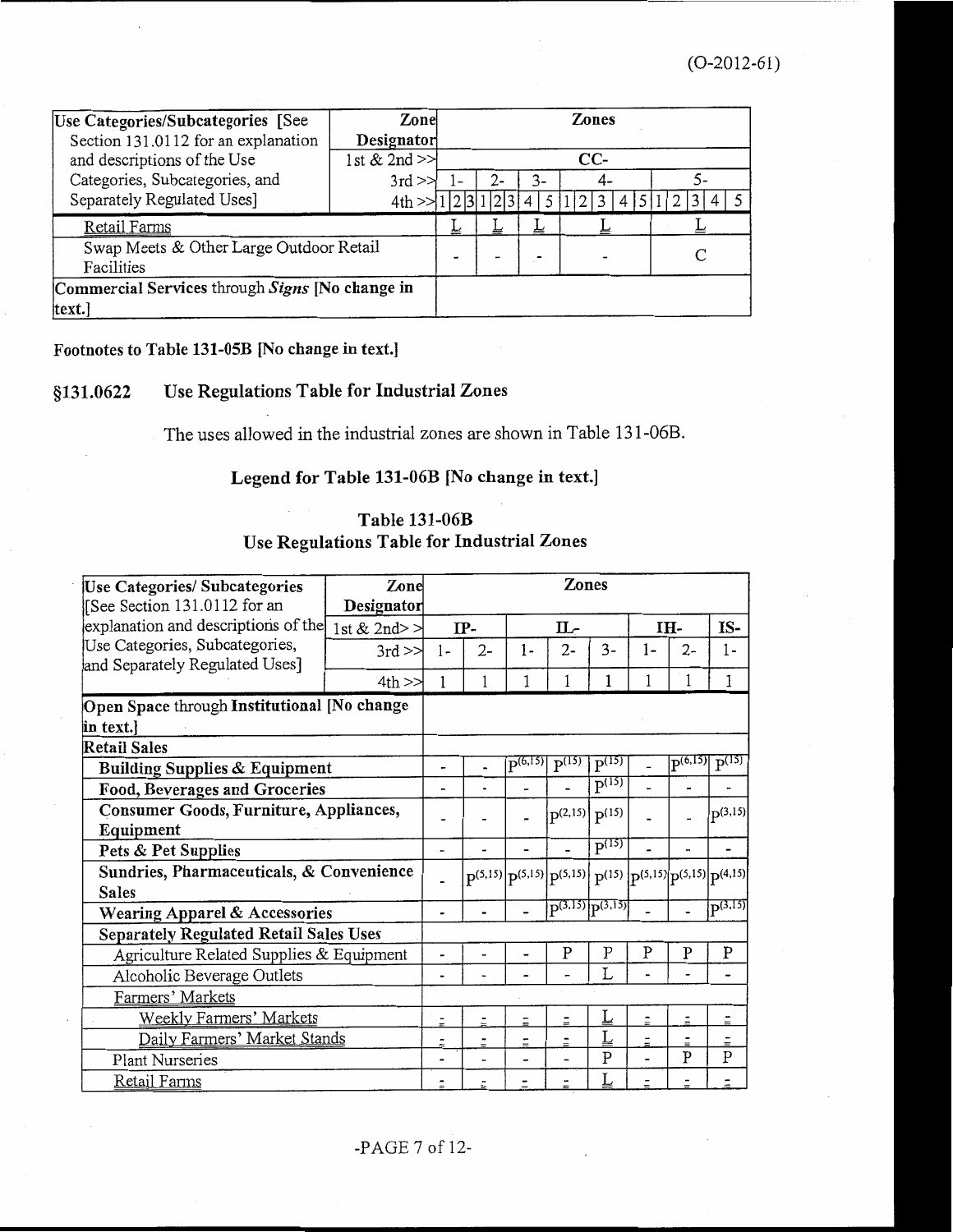| Use Categories/Subcategories [See               | Zone               | Zones       |                          |   |  |  |  |  |  |  |
|-------------------------------------------------|--------------------|-------------|--------------------------|---|--|--|--|--|--|--|
| Section 131.0112 for an explanation             | Designator         |             |                          |   |  |  |  |  |  |  |
| and descriptions of the Use                     | 1st $& 2nd \geq 1$ | $CC-$       |                          |   |  |  |  |  |  |  |
| Categories, Subcategories, and                  | $3rd \gg$          | 3-<br>$2 -$ |                          |   |  |  |  |  |  |  |
| Separately Regulated Uses]                      | 4th                |             |                          |   |  |  |  |  |  |  |
| <b>Retail Farms</b>                             |                    | ᆇ           |                          | ᆇ |  |  |  |  |  |  |
| Swap Meets & Other Large Outdoor Retail         |                    |             | $\overline{\phantom{a}}$ |   |  |  |  |  |  |  |
| Facilities                                      |                    |             |                          |   |  |  |  |  |  |  |
| Commercial Services through Signs [No change in |                    |             |                          |   |  |  |  |  |  |  |
| text.                                           |                    |             |                          |   |  |  |  |  |  |  |

# Footnotes to Table 131-05B [No change in text.]

### Use Regulations Table for Industrial Zones §131.0622

The uses allowed in the industrial zones are shown in Table 131-06B.

# Legend for Table 131-06B [No change in text.]

# Table 131-06B Use Regulations Table for Industrial Zones

| Use Categories/ Subcategories<br>[See Section 131.0112 for an    | Zone<br>Designator |                          |                |              | Zones                                                                       |                           |                          |                     |                       |
|------------------------------------------------------------------|--------------------|--------------------------|----------------|--------------|-----------------------------------------------------------------------------|---------------------------|--------------------------|---------------------|-----------------------|
| explanation and descriptions of the                              | 1st & 2nd> $>$     |                          | $IP-$          |              | П.-                                                                         |                           |                          | TH-                 | IS-                   |
| Use Categories, Subcategories,<br>and Separately Regulated Uses] | $3rd \geq 1$       | $1 -$                    | $2-$           | $1-$         | 2-                                                                          | $3 -$                     | 1-                       | 2-                  | 1-                    |
|                                                                  | $4th$ $>$          | 1                        |                | 1            | 1                                                                           |                           |                          |                     | 1                     |
| Open Space through Institutional [No change                      |                    |                          |                |              |                                                                             |                           |                          |                     |                       |
| in text.                                                         |                    |                          |                |              |                                                                             |                           |                          |                     |                       |
| Retail Sales                                                     |                    |                          |                |              |                                                                             |                           |                          |                     |                       |
| <b>Building Supplies &amp; Equipment</b>                         |                    | -                        | $\blacksquare$ | $P^{(6,15)}$ | $P^{(15)}$                                                                  | $P^{(15)}$                |                          | P <sup>(6,15)</sup> | $\overline{P^{(15)}}$ |
| Food, Beverages and Groceries                                    |                    | $\overline{\phantom{a}}$ |                |              |                                                                             | $\overline{P^{(15)}}$     |                          |                     |                       |
| Consumer Goods, Furniture, Appliances,<br>Equipment              |                    |                          |                |              | $p^{(2,15)}$ $p^{(15)}$                                                     |                           |                          |                     | $ p^{(3,15)} $        |
| Pets & Pet Supplies                                              |                    | -                        |                |              |                                                                             | $P^{(15)}$                |                          |                     |                       |
| Sundries, Pharmaceuticals, & Convenience<br><b>Sales</b>         |                    |                          |                |              | $p(5,15)$ $p(5,15)$ $p(5,15)$ $p(15)$ $p(15)$ $p(5,15)$ $p(5,15)$ $p(4,15)$ |                           |                          |                     |                       |
| Wearing Apparel & Accessories                                    |                    |                          |                |              | $\overline{P^{(3,15)} P^{(3,15)}}$                                          |                           |                          |                     | $D^{(3,15)}$          |
| <b>Separately Regulated Retail Sales Uses</b>                    |                    |                          |                |              |                                                                             |                           |                          |                     |                       |
| Agriculture Related Supplies & Equipment                         |                    |                          |                |              | P                                                                           | $\mathbf P$               | P                        | P                   | P                     |
| Alcoholic Beverage Outlets                                       |                    | $\overline{\phantom{0}}$ |                |              |                                                                             | L                         |                          |                     |                       |
| Farmers' Markets                                                 |                    |                          |                |              |                                                                             |                           |                          |                     |                       |
| Weekly Farmers' Markets                                          |                    | $\frac{1}{\pi}$          |                |              | $\overline{a}$                                                              |                           | $\equiv$                 | $\overline{a}$      | $\ddot{=}$            |
| Daily Farmers' Market Stands                                     |                    | $\overline{=}$           |                |              | -                                                                           |                           | $\overline{\phantom{0}}$ |                     |                       |
| <b>Plant Nurseries</b>                                           |                    |                          |                |              |                                                                             | $\boldsymbol{\mathrm{P}}$ |                          | $\overline{P}$      | P                     |
| Retail Farms                                                     |                    |                          |                |              |                                                                             |                           |                          |                     |                       |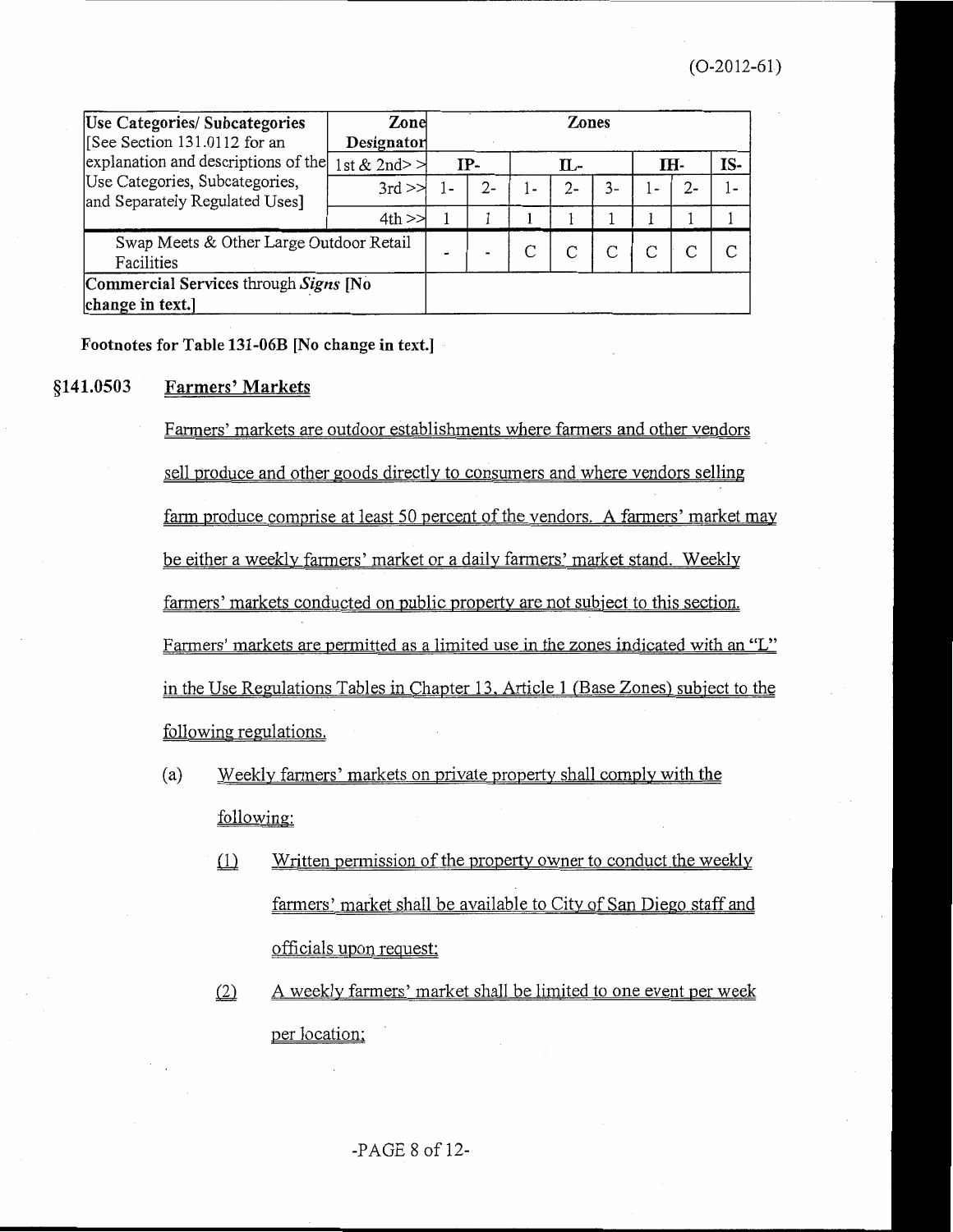| Use Categories/ Subcategories<br>[See Section 131.0112 for an<br>explanation and descriptions of the<br>Use Categories, Subcategories,<br>and Separately Regulated Uses] | Zone<br>Designator                          | <b>Zones</b>   |  |              |       |    |                       |       |     |
|--------------------------------------------------------------------------------------------------------------------------------------------------------------------------|---------------------------------------------|----------------|--|--------------|-------|----|-----------------------|-------|-----|
|                                                                                                                                                                          | $\left  \text{st} \& 2 \text{nd} \right  >$ | IP-            |  | П.-          |       |    | IH-                   |       | IS- |
|                                                                                                                                                                          | $3rd \geq$                                  |                |  | $\epsilon$ = | $2 -$ | 3- | $\tilde{\phantom{a}}$ | $2 -$ | 1-  |
|                                                                                                                                                                          | 4th                                         |                |  |              |       |    |                       |       |     |
| Swap Meets & Other Large Outdoor Retail<br>Facilities                                                                                                                    |                                             | $\blacksquare$ |  |              |       |    |                       |       | ⌒   |
| Commercial Services through Signs [No<br>change in text.]                                                                                                                |                                             |                |  |              |       |    |                       |       |     |

Footnotes for Table 131-06B [No change in text.]

#### §141.0503 **Farmers' Markets**

Farmers' markets are outdoor establishments where farmers and other vendors sell produce and other goods directly to consumers and where vendors selling farm produce comprise at least 50 percent of the vendors. A farmers' market may be either a weekly farmers' market or a daily farmers' market stand. Weekly farmers' markets conducted on public property are not subject to this section. Farmers' markets are permitted as a limited use in the zones indicated with an "L" in the Use Regulations Tables in Chapter 13, Article 1 (Base Zones) subject to the following regulations.

- Weekly farmers' markets on private property shall comply with the  $(a)$ following:
	- $(1)$ Written permission of the property owner to conduct the weekly farmers' market shall be available to City of San Diego staff and officials upon request;
	- $(2)$ A weekly farmers' market shall be limited to one event per week per location;

 $-PAGE 8 of 12$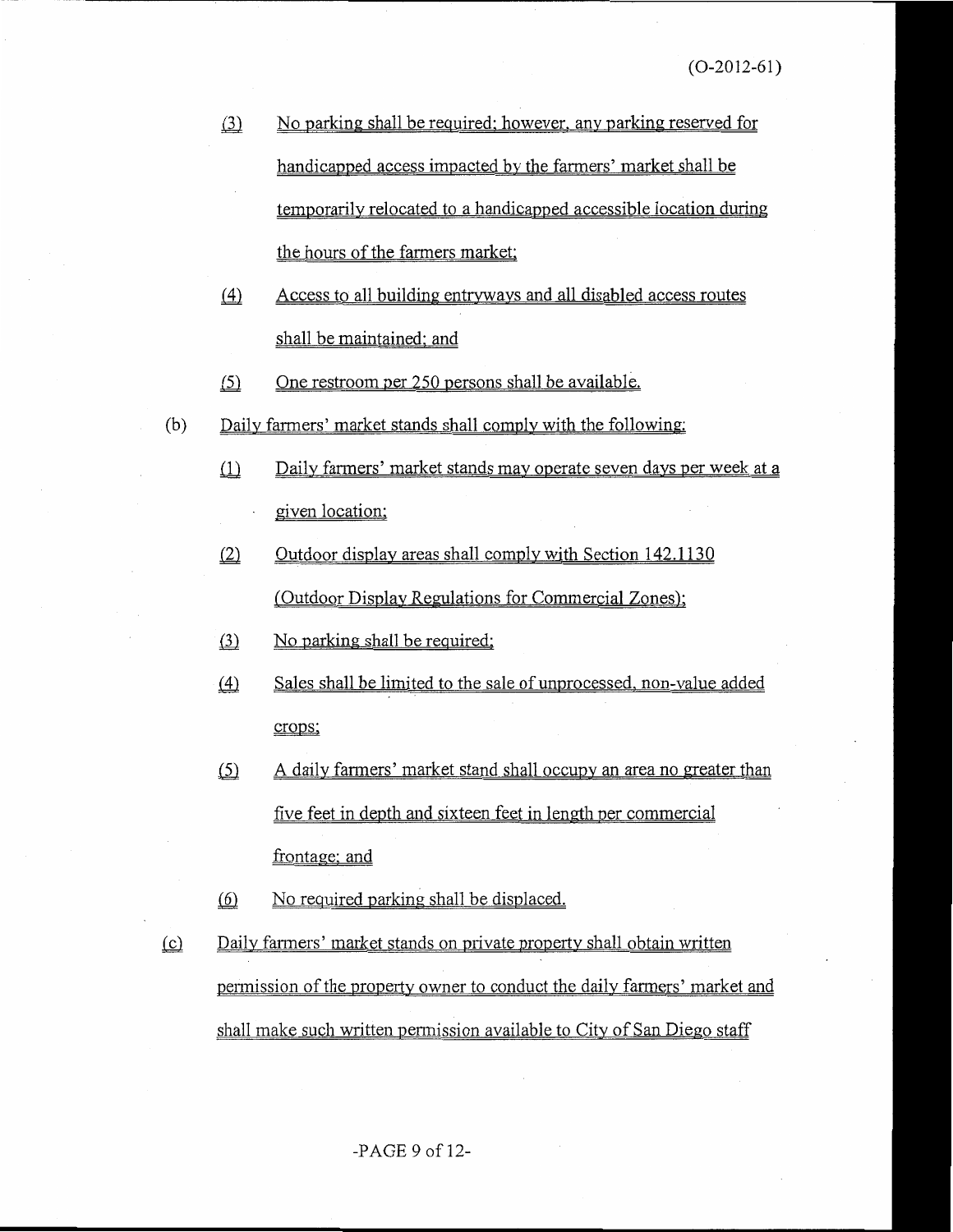- $(3)$ No parking shall be required; however, any parking reserved for handicapped access impacted by the farmers' market shall be temporarily relocated to a handicapped accessible location during the hours of the farmers market;
- Access to all building entryways and all disabled access routes  $(4)$ shall be maintained; and
- $(5)$ One restroom per 250 persons shall be available.
- Daily farmers' market stands shall comply with the following:  $(b)$ 
	- $\Box$ Daily farmers' market stands may operate seven days per week at a given location;
	- Outdoor display areas shall comply with Section 142.1130  $(2)$ (Outdoor Display Regulations for Commercial Zones);
	- $(3)$ No parking shall be required;
	- $(4)$ Sales shall be limited to the sale of unprocessed, non-value added crops;
	- A daily farmers' market stand shall occupy an area no greater than  $(5)$ five feet in depth and sixteen feet in length per commercial frontage; and
	- $(6)$ No required parking shall be displaced.
- $(c)$ Daily farmers' market stands on private property shall obtain written permission of the property owner to conduct the daily farmers' market and shall make such written permission available to City of San Diego staff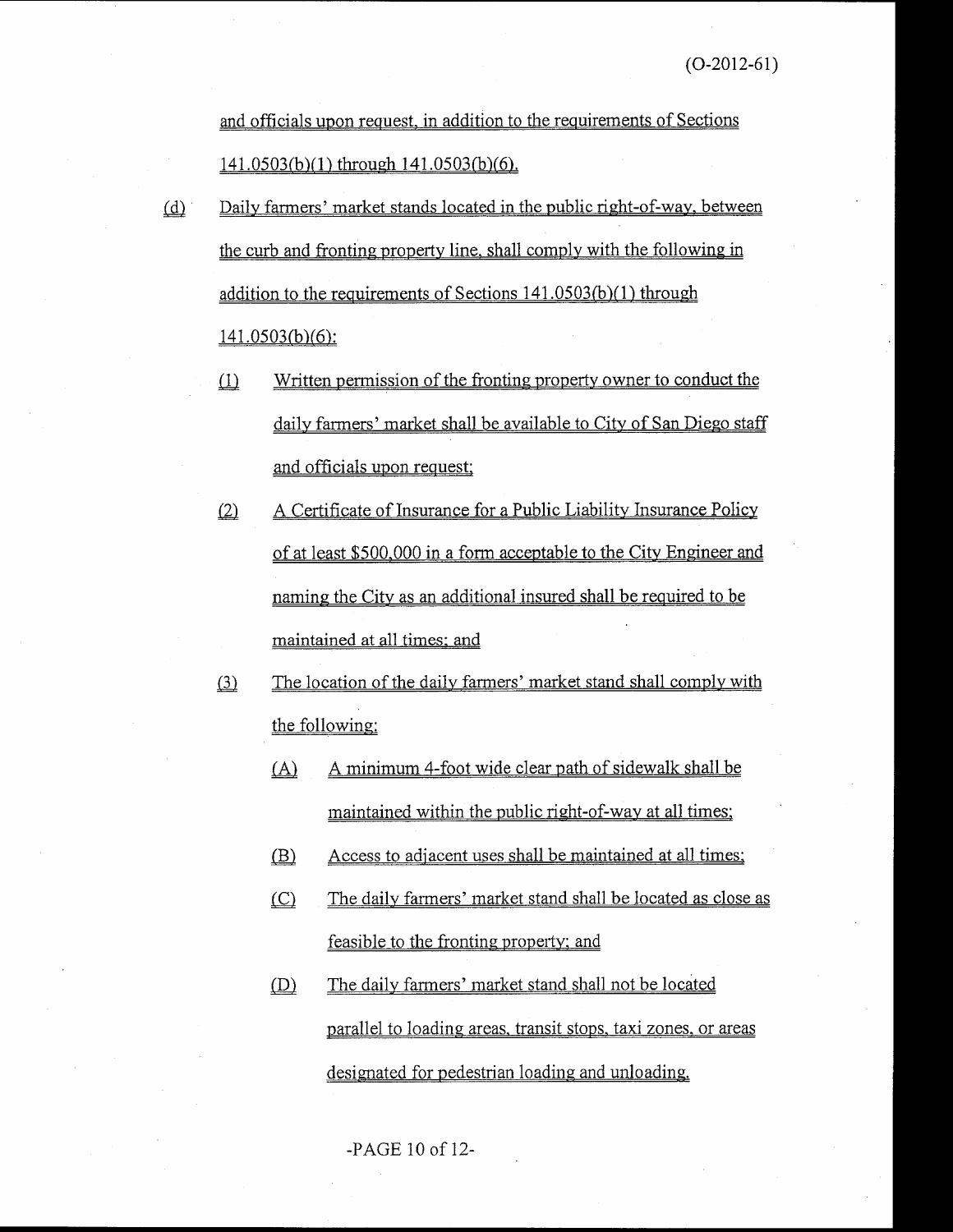and officials upon request, in addition to the requirements of Sections 141.0503(b)(1) through 141.0503(b)(6).

- Daily farmers' market stands located in the public right-of-way, between  $(d)$ the curb and fronting property line, shall comply with the following in addition to the requirements of Sections  $141.0503(b)(1)$  through  $141.0503(b)(6)$ :
	- $(1)$ Written permission of the fronting property owner to conduct the daily farmers' market shall be available to City of San Diego staff and officials upon request;
	- A Certificate of Insurance for a Public Liability Insurance Policy  $(2)$ of at least \$500,000 in a form acceptable to the City Engineer and naming the City as an additional insured shall be required to be maintained at all times; and
	- The location of the daily farmers' market stand shall comply with  $\left( \underline{3} \right)$ the following:
		- A minimum 4-foot wide clear path of sidewalk shall be  $(A)$ maintained within the public right-of-way at all times;
		- $(B)$ Access to adjacent uses shall be maintained at all times;
		- $(C)$ The daily farmers' market stand shall be located as close as feasible to the fronting property; and
		- $(D)$ The daily farmers' market stand shall not be located parallel to loading areas, transit stops, taxi zones, or areas designated for pedestrian loading and unloading.

-PAGE 10 of 12-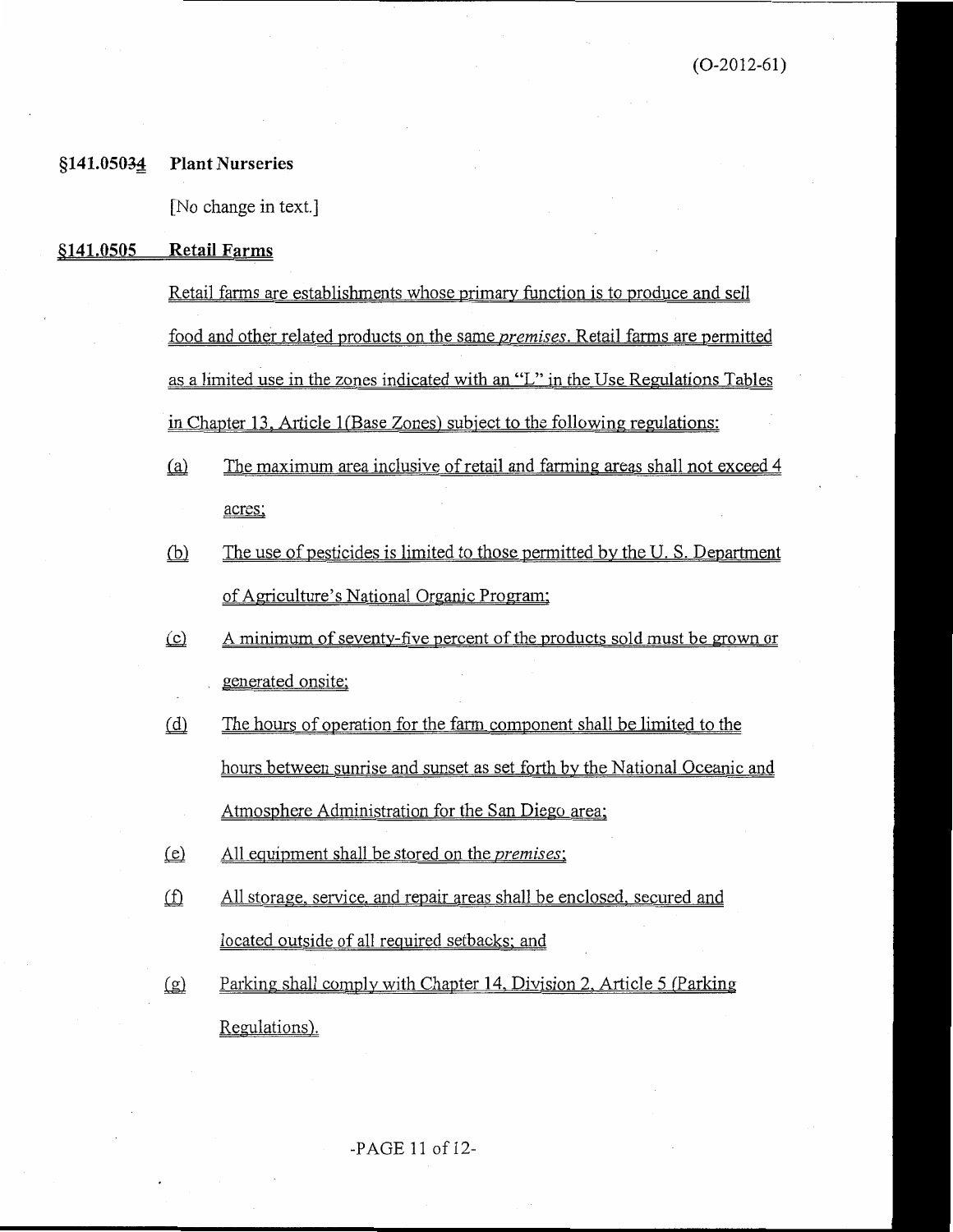#### §141.05034 **Plant Nurseries**

[No change in text.]

#### \$141.0505 **Retail Farms**

Retail farms are establishments whose primary function is to produce and sell food and other related products on the same *premises*. Retail farms are permitted as a limited use in the zones indicated with an "L" in the Use Regulations Tables in Chapter 13, Article 1(Base Zones) subject to the following regulations:

- $(a)$ The maximum area inclusive of retail and farming areas shall not exceed 4 acres:
- $(b)$ The use of pesticides is limited to those permitted by the U.S. Department of Agriculture's National Organic Program;
- A minimum of seventy-five percent of the products sold must be grown or  $(c)$ generated onsite;
- $(d)$ The hours of operation for the farm component shall be limited to the hours between sunrise and sunset as set forth by the National Oceanic and Atmosphere Administration for the San Diego area;
- All equipment shall be stored on the *premises*;  $(e)$
- $f(x)$ All storage, service, and repair areas shall be enclosed, secured and located outside of all required setbacks; and
- $(g)$ Parking shall comply with Chapter 14, Division 2, Article 5 (Parking Regulations).

-PAGE 11 of 12-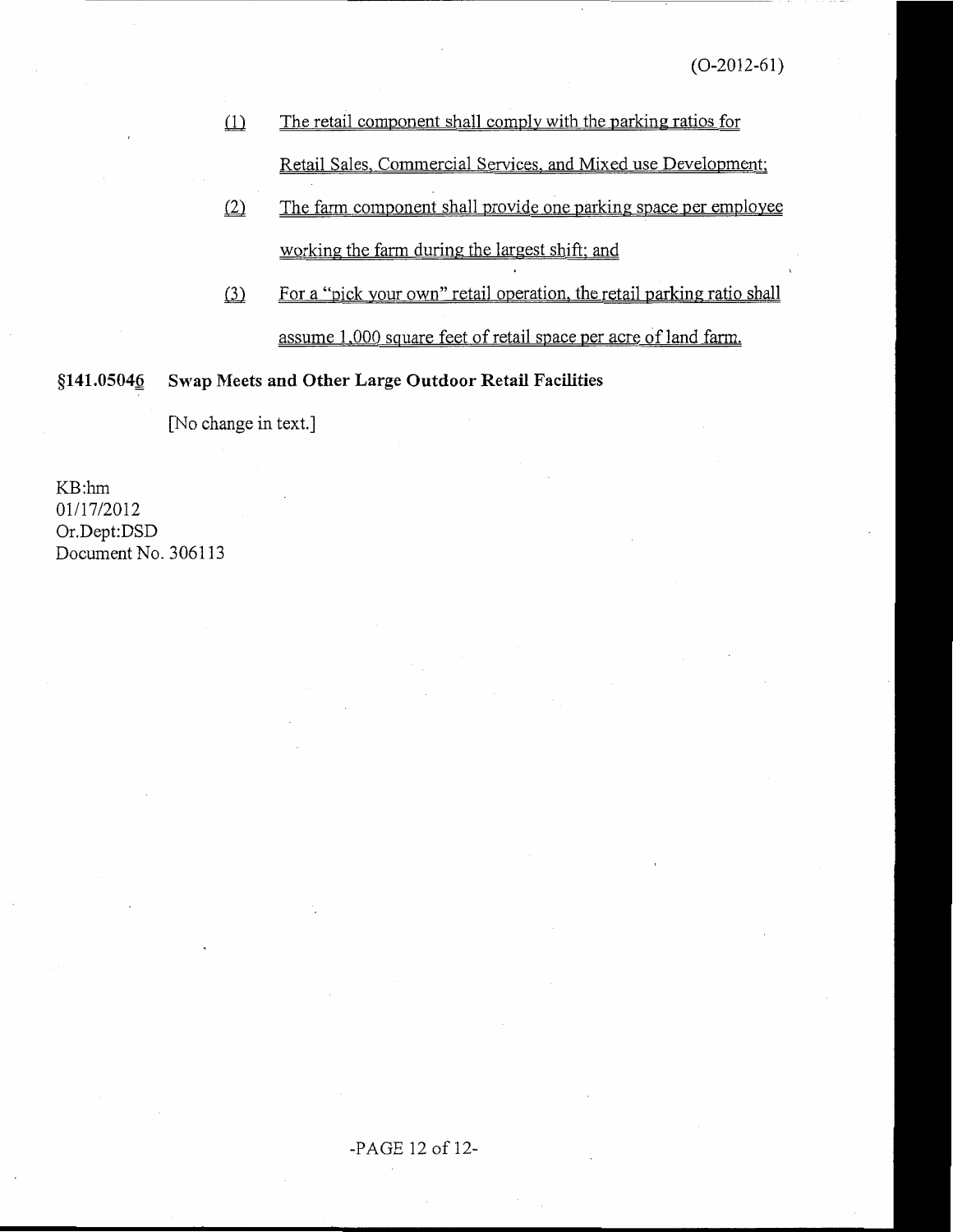- The retail component shall comply with the parking ratios for  $\omega$ Retail Sales, Commercial Services, and Mixed use Development;
- $(2)$ The farm component shall provide one parking space per employee working the farm during the largest shift; and
- For a "pick your own" retail operation, the retail parking ratio shall  $(3)$ assume 1,000 square feet of retail space per acre of land farm.

§141.05046 Swap Meets and Other Large Outdoor Retail Facilities

[No change in text.]

KB:hm 01/17/2012 Or.Dept:DSD Document No. 306113

### -PAGE 12 of 12-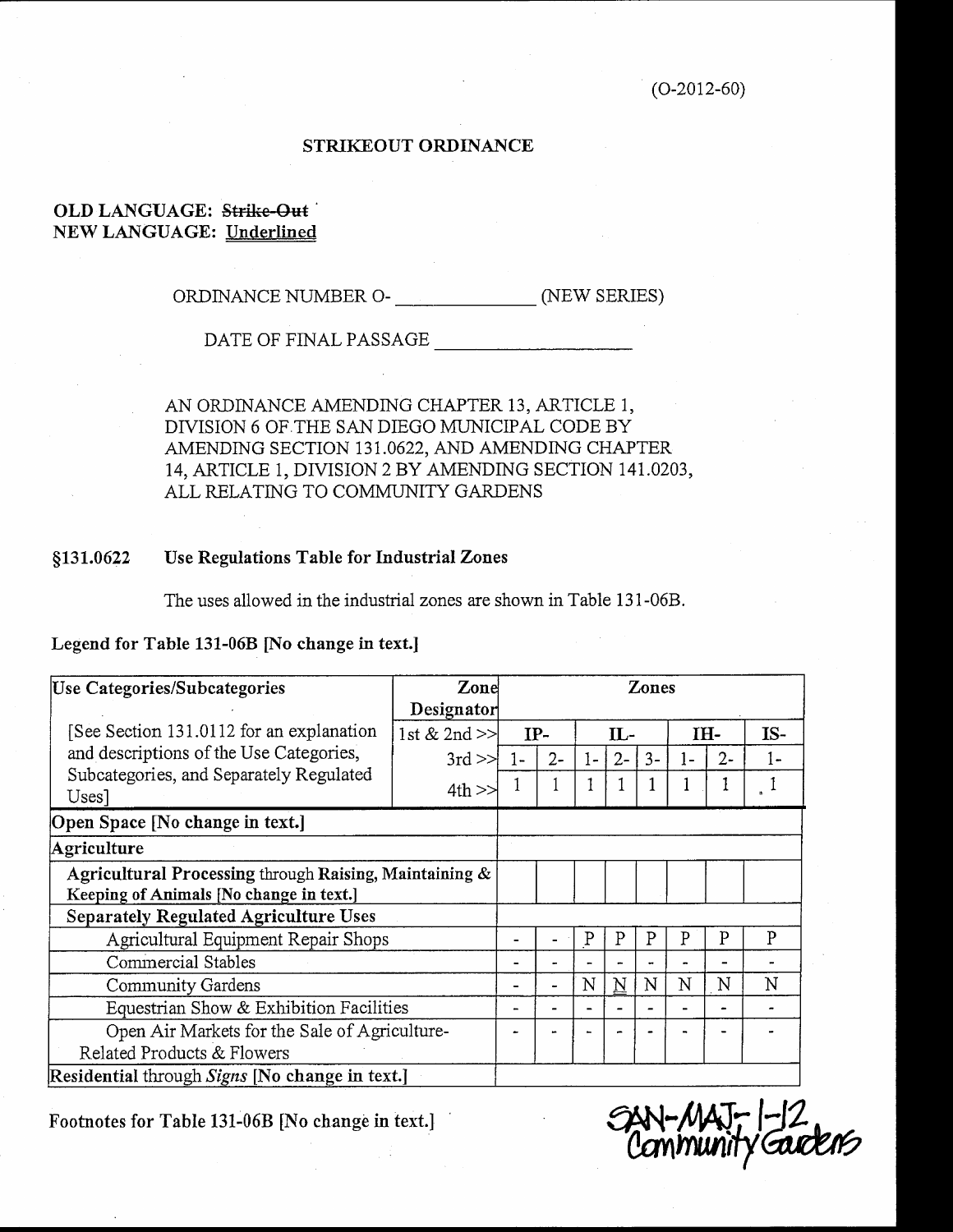### STRIKEOUT ORDINANCE

### OLD LANGUAGE: Strike-Out **NEW LANGUAGE: Underlined**

DATE OF FINAL PASSAGE

AN ORDINANCE AMENDING CHAPTER 13, ARTICLE 1, DIVISION 6 OF THE SAN DIEGO MUNICIPAL CODE BY AMENDING SECTION 131.0622, AND AMENDING CHAPTER 14, ARTICLE 1, DIVISION 2 BY AMENDING SECTION 141.0203, ALL RELATING TO COMMUNITY GARDENS

#### Use Regulations Table for Industrial Zones §131.0622

The uses allowed in the industrial zones are shown in Table 131-06B.

Legend for Table 131-06B [No change in text.]

| Use Categories/Subcategories                                                                                                             | Zone<br>Zones                  |       |       |       |       |      |       |       |     |
|------------------------------------------------------------------------------------------------------------------------------------------|--------------------------------|-------|-------|-------|-------|------|-------|-------|-----|
| [See Section 131.0112 for an explanation]<br>and descriptions of the Use Categories,<br>Subcategories, and Separately Regulated<br>Uses] | Designator<br>1st $& 2nd \geq$ | $IP-$ |       | $IL-$ |       |      | IH-   |       | IS- |
|                                                                                                                                          | $3rd \ge$                      | 1-    | $2 -$ | $1-$  | $2 -$ | $3-$ | $1 -$ | $2 -$ | 1-  |
|                                                                                                                                          | $4th$ $>$                      |       |       |       |       |      |       |       |     |
| Open Space [No change in text.]                                                                                                          |                                |       |       |       |       |      |       |       |     |
| Agriculture                                                                                                                              |                                |       |       |       |       |      |       |       |     |
| Agricultural Processing through Raising, Maintaining &<br>Keeping of Animals [No change in text.]                                        |                                |       |       |       |       |      |       |       |     |
| <b>Separately Regulated Agriculture Uses</b>                                                                                             |                                |       |       |       |       |      |       |       |     |
| Agricultural Equipment Repair Shops                                                                                                      |                                |       |       | P     | P     | P    | P     | P     | P   |
| Commercial Stables                                                                                                                       |                                |       |       |       |       |      |       |       |     |
| Community Gardens                                                                                                                        |                                |       | ÷     | N     | N     | N    | N     | N     | N   |
| Equestrian Show & Exhibition Facilities                                                                                                  |                                |       |       |       |       |      |       |       |     |
| Open Air Markets for the Sale of Agriculture-<br>Related Products & Flowers                                                              |                                |       |       |       |       |      |       |       |     |
| Residential through Signs INo change in text.                                                                                            |                                |       |       |       |       |      |       |       |     |

Footnotes for Table 131-06B [No change in text.]

Gudens